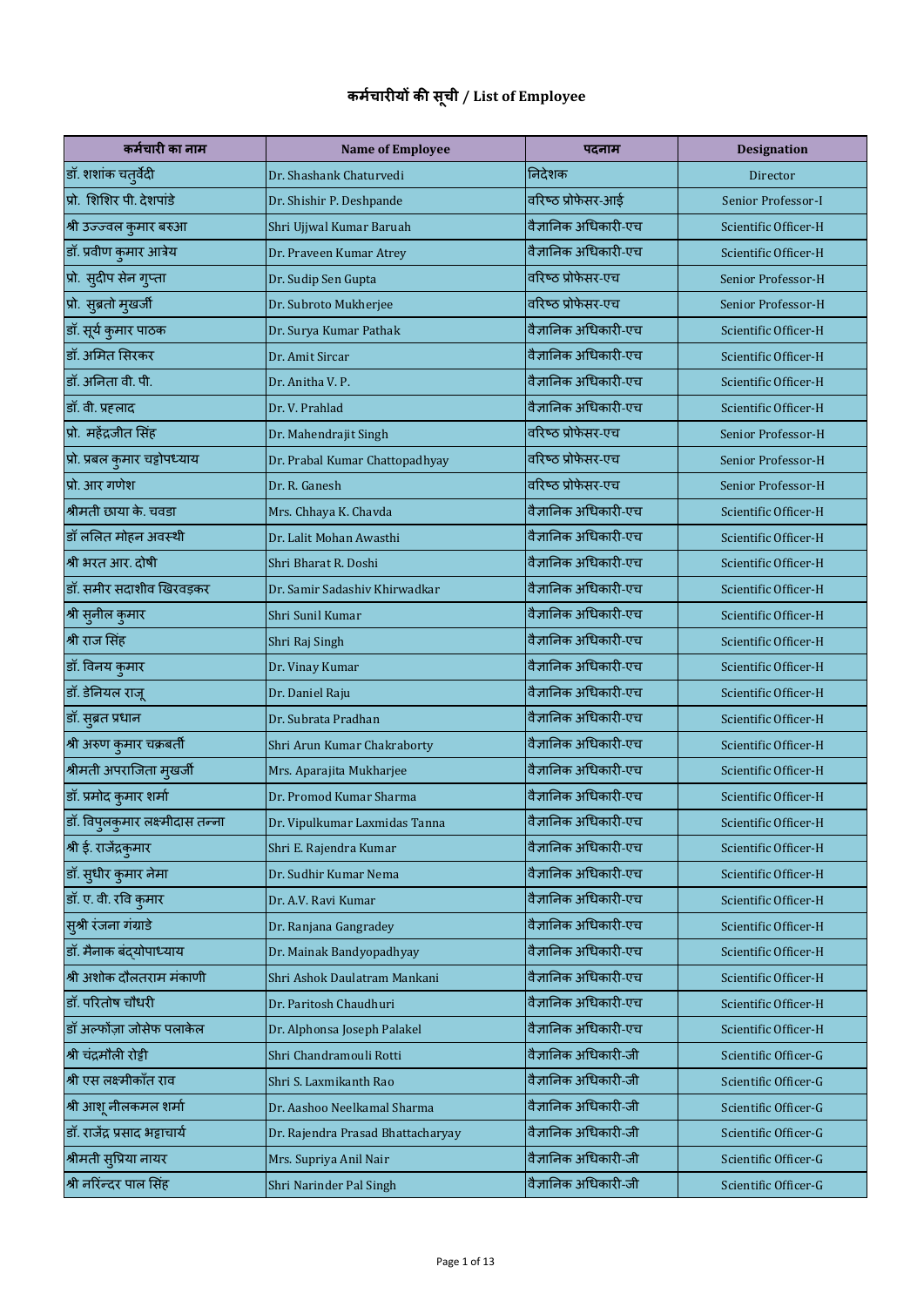## **कर्चम ारीयों की सूची / List of Employee**

| कर्मचारी का नाम                        | <b>Name of Employee</b>           | पदनाम                | <b>Designation</b>   |
|----------------------------------------|-----------------------------------|----------------------|----------------------|
| डॉ. शशांक चतुर्वेदी                    | Dr. Shashank Chaturvedi           | निदेशक               | Director             |
| प्रो. शिशिर पी. देशपांडे               | Dr. Shishir P. Deshpande          | वरिष्ठ प्रोफेसर-आई   | Senior Professor-I   |
| श्री उज्ज्वल कुमार बरुआ                | Shri Ujjwal Kumar Baruah          | वैज्ञानिक अधिकारी-एच | Scientific Officer-H |
| डॉ. प्रवीण कुमार आत्रेय                | Dr. Praveen Kumar Atrey           | वैज्ञानिक अधिकारी-एच | Scientific Officer-H |
| प्रो. सुदीप सेन गुप्ता                 | Dr. Sudip Sen Gupta               | वरिष्ठ प्रोफेसर-एच   | Senior Professor-H   |
| प्रो. सुब्रतो मुखर्जी                  | Dr. Subroto Mukherjee             | वरिष्ठ प्रोफेसर-एच   | Senior Professor-H   |
| डॉ. सूर्य कुमार पाठक                   | Dr. Surya Kumar Pathak            | वैज्ञानिक अधिकारी-एच | Scientific Officer-H |
| डॉ. अमित सिरकर                         | Dr. Amit Sircar                   | वैज्ञानिक अधिकारी-एच | Scientific Officer-H |
| डॉ. अनिता वी. पी.                      | Dr. Anitha V. P.                  | वैज्ञानिक अधिकारी-एच | Scientific Officer-H |
| डॉ. वी. प्रहलाद                        | Dr. V. Prahlad                    | वैज्ञानिक अधिकारी-एच | Scientific Officer-H |
| प्रो. महेंद्रजीत सिंह                  | Dr. Mahendrajit Singh             | वरिष्ठ प्रोफेसर-एच   | Senior Professor-H   |
| प्रो. प्रबल कुमार चट्टोपध्याय          | Dr. Prabal Kumar Chattopadhyay    | वरिष्ठ प्रोफेसर-एच   | Senior Professor-H   |
| प्रो. आर गणेश                          | Dr. R. Ganesh                     | वरिष्ठ प्रोफेसर-एच   | Senior Professor-H   |
| श्रीमती छाया के. चवडा                  | Mrs. Chhaya K. Chavda             | वैज्ञानिक अधिकारी-एच | Scientific Officer-H |
| डॉ ललित मोहन अवस्थी                    | Dr. Lalit Mohan Awasthi           | वैज्ञानिक अधिकारी-एच | Scientific Officer-H |
| श्री भरत आर. दोषी                      | Shri Bharat R. Doshi              | वैज्ञानिक अधिकारी-एच | Scientific Officer-H |
| डॉ. समीर सदाशीव खिरवड़कर               | Dr. Samir Sadashiv Khirwadkar     | वैज्ञानिक अधिकारी-एच | Scientific Officer-H |
| श्री सुनील कुमार                       | Shri Sunil Kumar                  | वैज्ञानिक अधिकारी-एच | Scientific Officer-H |
| श्री राज सिंह                          | Shri Raj Singh                    | वैज्ञानिक अधिकारी-एच | Scientific Officer-H |
| डॉ. विनय कुमार                         | Dr. Vinay Kumar                   | वैज्ञानिक अधिकारी-एच | Scientific Officer-H |
| डॉ. डेनियल राजू                        | Dr. Daniel Raju                   | वैज्ञानिक अधिकारी-एच | Scientific Officer-H |
| डॉ. सुब्रत प्रधान                      | Dr. Subrata Pradhan               | वैज्ञानिक अधिकारी-एच | Scientific Officer-H |
| श्री अरुण कुमार चक्रबर्ती              | Shri Arun Kumar Chakraborty       | वैज्ञानिक अधिकारी-एच | Scientific Officer-H |
| श्रीमती अपराजिता मुखर्जी               | Mrs. Aparajita Mukharjee          | वैज्ञानिक अधिकारी-एच | Scientific Officer-H |
| डॉ. प्रमोद कुमार शर्मा                 | Dr. Promod Kumar Sharma           | वैज्ञानिक अधिकारी-एच | Scientific Officer-H |
| डॉ. विपुलकुमार लक्ष्मीदास तन्ना<br>ა ა | Dr. Vipulkumar Laxmidas Tanna     | वैज्ञानिक अधिकारी-एच | Scientific Officer-H |
| श्री ई. राजेंद्रकुमार                  | Shri E. Rajendra Kumar            | वैज्ञानिक अधिकारी-एच | Scientific Officer-H |
| डॉ. सुधीर कुमार नेमा                   | Dr. Sudhir Kumar Nema             | वैज्ञानिक अधिकारी-एच | Scientific Officer-H |
| डॉ. ए. वी. रवि कुमार                   | Dr. A.V. Ravi Kumar               | वैज्ञानिक अधिकारी-एच | Scientific Officer-H |
| सुश्री रंजना गंग्राडे                  | Dr. Ranjana Gangradey             | वैज्ञानिक अधिकारी-एच | Scientific Officer-H |
| डॉ. मैनाक बंदयोपाध्याय                 | Dr. Mainak Bandyopadhyay          | वैज्ञानिक अधिकारी-एच | Scientific Officer-H |
| श्री अशोक दौलतराम मंकाणी               | Shri Ashok Daulatram Mankani      | वैज्ञानिक अधिकारी-एच | Scientific Officer-H |
| डॉ. परितोष चौधरी                       | Dr. Paritosh Chaudhuri            | वैज्ञानिक अधिकारी-एच | Scientific Officer-H |
| डॉ अल्फोंज़ा जोसेफ पलाकेल              | Dr. Alphonsa Joseph Palakel       | वैज्ञानिक अधिकारी-एच | Scientific Officer-H |
| श्री चंद्रमौली रोट्टी                  | Shri Chandramouli Rotti           | वैज्ञानिक अधिकारी-जी | Scientific Officer-G |
| श्री एस लक्ष्मीकाँत राव                | Shri S. Laxmikanth Rao            | वैज्ञानिक अधिकारी-जी | Scientific Officer-G |
| श्री आशू नीलकमल शर्मा                  | Dr. Aashoo Neelkamal Sharma       | वैज्ञानिक अधिकारी-जी | Scientific Officer-G |
| डॉ. राजेंद्र प्रसाद भट्टाचार्य         | Dr. Rajendra Prasad Bhattacharyay | वैज्ञानिक अधिकारी-जी | Scientific Officer-G |
| श्रीमती सुप्रिया नायर                  | Mrs. Supriya Anil Nair            | वैज्ञानिक अधिकारी-जी | Scientific Officer-G |
| श्री नरिन्दर पाल सिंह                  | Shri Narinder Pal Singh           | वैज्ञानिक अधिकारी-जी | Scientific Officer-G |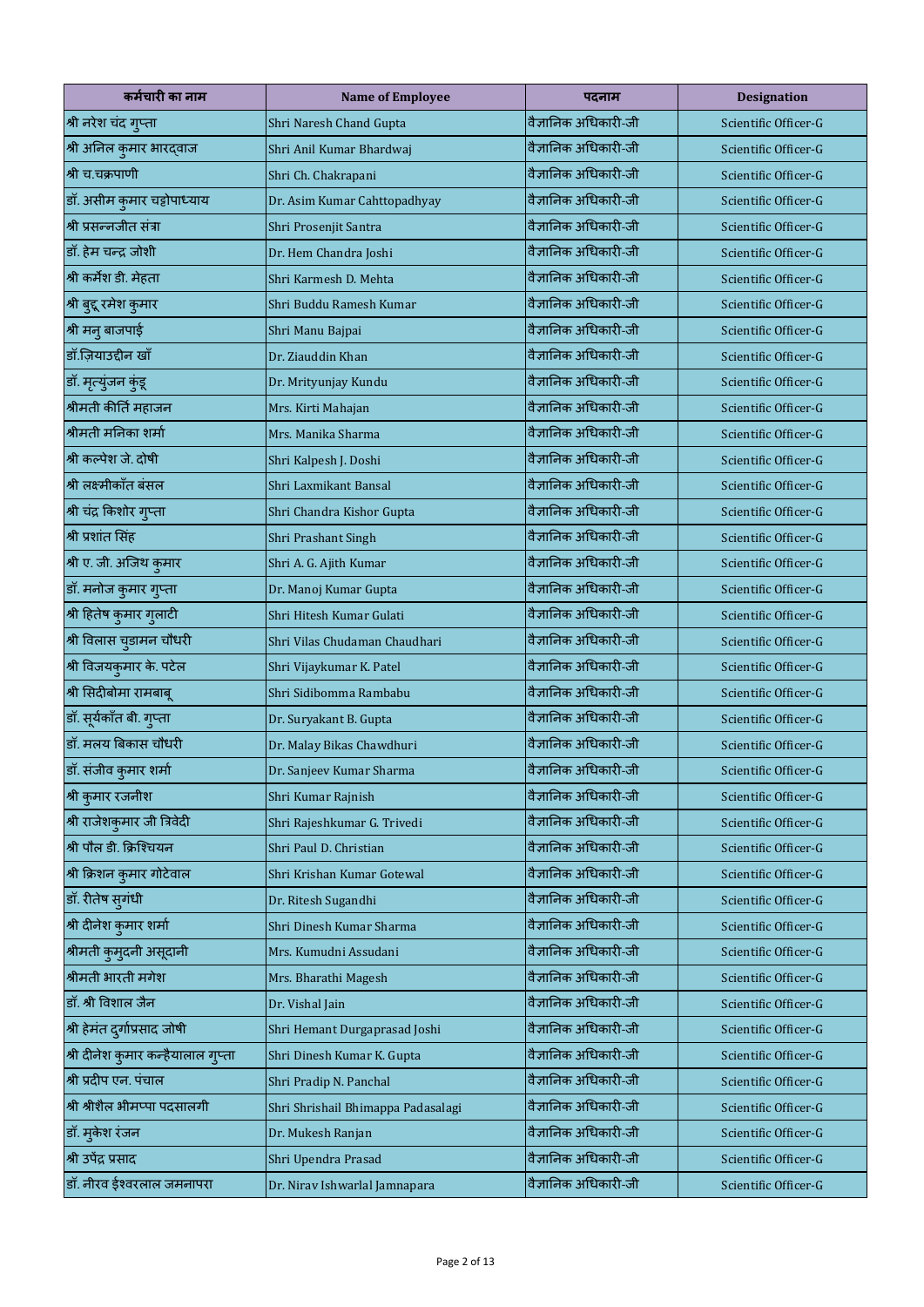| कर्मचारी का नाम                    | <b>Name of Employee</b>            | पदनाम                | <b>Designation</b>   |
|------------------------------------|------------------------------------|----------------------|----------------------|
| श्री नरेश चंद गुप्ता               | Shri Naresh Chand Gupta            | वैज्ञानिक अधिकारी-जी | Scientific Officer-G |
| श्री अनिल कुमार भारद्वाज           | Shri Anil Kumar Bhardwaj           | वैज्ञानिक अधिकारी-जी | Scientific Officer-G |
| श्री च.चक्रपाणी                    | Shri Ch. Chakrapani                | वैज्ञानिक अधिकारी-जी | Scientific Officer-G |
| डॉ. असीम कुमार चट्टोपाध्याय        | Dr. Asim Kumar Cahttopadhyay       | वैज्ञानिक अधिकारी-जी | Scientific Officer-G |
| श्री प्रसन्नजीत संत्रा             | Shri Prosenjit Santra              | वैज्ञानिक अधिकारी-जी | Scientific Officer-G |
| डॉ. हेम चन्द्र जोशी                | Dr. Hem Chandra Joshi              | वैज्ञानिक अधिकारी-जी | Scientific Officer-G |
| श्री कर्मेश डी. मेहता              | Shri Karmesh D. Mehta              | वैज्ञानिक अधिकारी-जी | Scientific Officer-G |
| श्री बुद्दू रमेश कुमार             | Shri Buddu Ramesh Kumar            | वैज्ञानिक अधिकारी-जी | Scientific Officer-G |
| श्री मनु बाजपाई                    | Shri Manu Bajpai                   | वैज्ञानिक अधिकारी-जी | Scientific Officer-G |
| डॉ.ज़ियाउद्दीन खाँ                 | Dr. Ziauddin Khan                  | वैज्ञानिक अधिकारी-जी | Scientific Officer-G |
| डॉ. मृत्युंजन कुंडू                | Dr. Mrityunjay Kundu               | वैज्ञानिक अधिकारी-जी | Scientific Officer-G |
| श्रीमती कीर्ति महाजन               | Mrs. Kirti Mahajan                 | वैज्ञानिक अधिकारी-जी | Scientific Officer-G |
| श्रीमती मनिका शर्मा                | Mrs. Manika Sharma                 | वैज्ञानिक अधिकारी-जी | Scientific Officer-G |
| श्री कल्पेश जे. दोषी               | Shri Kalpesh J. Doshi              | वैज्ञानिक अधिकारी-जी | Scientific Officer-G |
| श्री लक्ष्मीकाँत बंसल              | Shri Laxmikant Bansal              | वैज्ञानिक अधिकारी-जी | Scientific Officer-G |
| श्री चंद्र किशोर गुप्ता            | Shri Chandra Kishor Gupta          | वैज्ञानिक अधिकारी-जी | Scientific Officer-G |
| श्री प्रशांत सिंह                  | Shri Prashant Singh                | वैज्ञानिक अधिकारी-जी | Scientific Officer-G |
| श्री ए. जी. अजिथ कुमार             | Shri A. G. Ajith Kumar             | वैज्ञानिक अधिकारी-जी | Scientific Officer-G |
| डॉ. मनोज कुमार गुप्ता              | Dr. Manoj Kumar Gupta              | वैज्ञानिक अधिकारी-जी | Scientific Officer-G |
| श्री हितेष कुमार गुलाटी            | Shri Hitesh Kumar Gulati           | वैज्ञानिक अधिकारी-जी | Scientific Officer-G |
| श्री विलास चुडामन चौधरी            | Shri Vilas Chudaman Chaudhari      | वैज्ञानिक अधिकारी-जी | Scientific Officer-G |
| श्री विजयकुमार के. पटेल            | Shri Vijaykumar K. Patel           | वैज्ञानिक अधिकारी-जी | Scientific Officer-G |
| श्री सिदीबोमा रामबाबू              | Shri Sidibomma Rambabu             | वैज्ञानिक अधिकारी-जी | Scientific Officer-G |
| डॉ. सूर्यकाँत बी. गुप्ता           | Dr. Suryakant B. Gupta             | वैज्ञानिक अधिकारी-जी | Scientific Officer-G |
| डॉ. मलय बिकास चौधरी                | Dr. Malay Bikas Chawdhuri          | वैज्ञानिक अधिकारी-जी | Scientific Officer-G |
| डॉ. संजीव कुमार शर्मा              | Dr. Sanjeev Kumar Sharma           | वैज्ञानिक अधिकारी-जी | Scientific Officer-G |
| श्री कुमार रजनीश                   | Shri Kumar Rajnish                 | वैज्ञानिक अधिकारी-जी | Scientific Officer-G |
| श्री राजेशकुमार जी त्रिवेदी        | Shri Rajeshkumar G. Trivedi        | वैज्ञानिक अधिकारी-जी | Scientific Officer-G |
| श्री पौल डी. क्रिश्चियन            | Shri Paul D. Christian             | वैज्ञानिक अधिकारी-जी | Scientific Officer-G |
| श्री क्रिशन कुमार गोटेवाल          | Shri Krishan Kumar Gotewal         | वैज्ञानिक अधिकारी-जी | Scientific Officer-G |
| डॉ. रीतेष सुगंधी                   | Dr. Ritesh Sugandhi                | वैज्ञानिक अधिकारी-जी | Scientific Officer-G |
| श्री दीनेश कुमार शर्मा             | Shri Dinesh Kumar Sharma           | वैज्ञानिक अधिकारी-जी | Scientific Officer-G |
| श्रीमती कुम् दनी असूदानी           | Mrs. Kumudni Assudani              | वैज्ञानिक अधिकारी-जी | Scientific Officer-G |
| श्रीमती भारती मगेश                 | Mrs. Bharathi Magesh               | वैज्ञानिक अधिकारी-जी | Scientific Officer-G |
| डॉ. श्री विशाल जैन                 | Dr. Vishal Jain                    | वैज्ञानिक अधिकारी-जी | Scientific Officer-G |
| श्री हेमंत दुर्गाप्रसाद जोषी       | Shri Hemant Durgaprasad Joshi      | वैज्ञानिक अधिकारी-जी | Scientific Officer-G |
| श्री दीनेश कुमार कन्हैयालाल गुप्ता | Shri Dinesh Kumar K. Gupta         | वैज्ञानिक अधिकारी-जी | Scientific Officer-G |
| श्री प्रदीप एन. पंचाल              | Shri Pradip N. Panchal             | वैज्ञानिक अधिकारी-जी | Scientific Officer-G |
| श्री श्रीशैल भीमप्पा पदसालगी       | Shri Shrishail Bhimappa Padasalagi | वैज्ञानिक अधिकारी-जी | Scientific Officer-G |
| डॉ. मुकेश रंजन                     | Dr. Mukesh Ranjan                  | वैज्ञानिक अधिकारी-जी | Scientific Officer-G |
| श्री उपेंद्र प्रसाद                | Shri Upendra Prasad                | वैज्ञानिक अधिकारी-जी | Scientific Officer-G |
| डॉ. नीरव ईश्वरलाल जमनापरा          | Dr. Nirav Ishwarlal Jamnapara      | वैज्ञानिक अधिकारी-जी | Scientific Officer-G |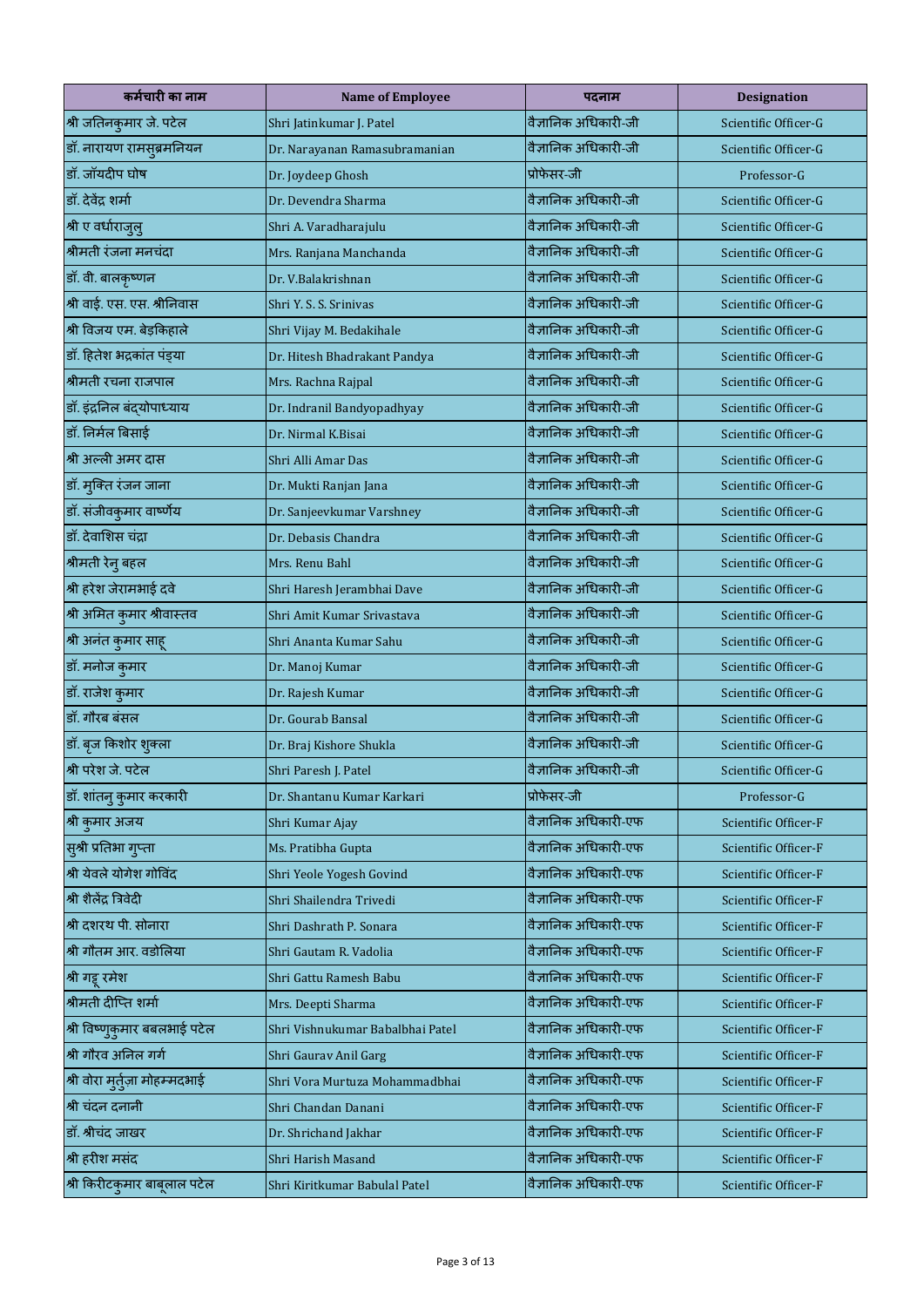| कर्मचारी का नाम                | <b>Name of Employee</b>          | पदनाम                | <b>Designation</b>   |
|--------------------------------|----------------------------------|----------------------|----------------------|
| श्री जतिनकुमार जे. पटेल        | Shri Jatinkumar J. Patel         | वैज्ञानिक अधिकारी-जी | Scientific Officer-G |
| डॉ. नारायण रामसूब्रमनियन       | Dr. Narayanan Ramasubramanian    | वैज्ञानिक अधिकारी-जी | Scientific Officer-G |
| डॉ. जॉयदीप घोष                 | Dr. Joydeep Ghosh                | प्रोफेसर-जी          | Professor-G          |
| डॉ. देवेंद्र शर्मा             | Dr. Devendra Sharma              | वैज्ञानिक अधिकारी-जी | Scientific Officer-G |
| श्री ए वर्धाराजुलु             | Shri A. Varadharajulu            | वैज्ञानिक अधिकारी-जी | Scientific Officer-G |
| श्रीमती रंजना मनचंदा           | Mrs. Ranjana Manchanda           | वैज्ञानिक अधिकारी-जी | Scientific Officer-G |
| डॉ. वी. बालकृष्णन              | Dr. V.Balakrishnan               | वैज्ञानिक अधिकारी-जी | Scientific Officer-G |
| श्री वाई. एस. एस. श्रीनिवास    | Shri Y. S. S. Srinivas           | वैज्ञानिक अधिकारी-जी | Scientific Officer-G |
| श्री विजय एम. बेड़किहाले       | Shri Vijay M. Bedakihale         | वैज्ञानिक अधिकारी-जी | Scientific Officer-G |
| डॉ. हितेश भद्रकांत पंड्या      | Dr. Hitesh Bhadrakant Pandya     | वैज्ञानिक अधिकारी-जी | Scientific Officer-G |
| श्रीमती रचना राजपाल            | Mrs. Rachna Rajpal               | वैज्ञानिक अधिकारी-जी | Scientific Officer-G |
| डॉ. इंद्रनिल बंद्योपाध्याय     | Dr. Indranil Bandyopadhyay       | वैज्ञानिक अधिकारी-जी | Scientific Officer-G |
| डॉ. निर्मल बिसाई               | Dr. Nirmal K.Bisai               | वैज्ञानिक अधिकारी-जी | Scientific Officer-G |
| श्री अल्ली अमर दास             | Shri Alli Amar Das               | वैज्ञानिक अधिकारी-जी | Scientific Officer-G |
| डॉ. मुक्ति रंजन जाना           | Dr. Mukti Ranjan Jana            | वैज्ञानिक अधिकारी-जी | Scientific Officer-G |
| डॉ. संजीवकुमार वार्ष्णेय       | Dr. Sanjeevkumar Varshney        | वैज्ञानिक अधिकारी-जी | Scientific Officer-G |
| डॉ. देवाशिस चंद्रा             | Dr. Debasis Chandra              | वैज्ञानिक अधिकारी-जी | Scientific Officer-G |
| श्रीमती रेन् बहल               | Mrs. Renu Bahl                   | वैज्ञानिक अधिकारी-जी | Scientific Officer-G |
| श्री हरेश जेरामभाई दवे         | Shri Haresh Jerambhai Dave       | वैज्ञानिक अधिकारी-जी | Scientific Officer-G |
| श्री अमित कुमार श्रीवास्तव     | Shri Amit Kumar Srivastava       | वैज्ञानिक अधिकारी-जी | Scientific Officer-G |
| श्री अनंत कुमार साहू           | Shri Ananta Kumar Sahu           | वैज्ञानिक अधिकारी-जी | Scientific Officer-G |
| डॉ. मनोज कुमार                 | Dr. Manoj Kumar                  | वैज्ञानिक अधिकारी-जी | Scientific Officer-G |
| डॉ. राजेश कुमार                | Dr. Rajesh Kumar                 | वैज्ञानिक अधिकारी-जी | Scientific Officer-G |
| डॉ. गौरब बंसल                  | Dr. Gourab Bansal                | वैज्ञानिक अधिकारी-जी | Scientific Officer-G |
| डॉ. बृज किशोर शुक्ला           | Dr. Braj Kishore Shukla          | वैज्ञानिक अधिकारी-जी | Scientific Officer-G |
| श्री परेश जे. पटेल             | Shri Paresh J. Patel             | वैज्ञानिक अधिकारी-जी | Scientific Officer-G |
| डॉ. शांतनु कुमार करकारी        | Dr. Shantanu Kumar Karkari       | प्रोफेसर-जी          | Professor-G          |
| श्री कुमार अजय                 | Shri Kumar Ajay                  | वैज्ञानिक अधिकारी-एफ | Scientific Officer-F |
| सुश्री प्रतिभा गुप्ता          | Ms. Pratibha Gupta               | वैज्ञानिक अधिकारी-एफ | Scientific Officer-F |
| श्री येवले योगेश गोविंद        | Shri Yeole Yogesh Govind         | वैज्ञानिक अधिकारी-एफ | Scientific Officer-F |
| श्री शैलेंद्र त्रिवेदी         | Shri Shailendra Trivedi          | वैज्ञानिक अधिकारी-एफ | Scientific Officer-F |
| श्री दशरथ पी. सोनारा           | Shri Dashrath P. Sonara          | वैज्ञानिक अधिकारी-एफ | Scientific Officer-F |
| श्री गौतम आर. वडोलिया          | Shri Gautam R. Vadolia           | वैज्ञानिक अधिकारी-एफ | Scientific Officer-F |
| श्री गट्टू रमेश                | Shri Gattu Ramesh Babu           | वैज्ञानिक अधिकारी-एफ | Scientific Officer-F |
| श्रीमती दीप्ति शर्मा           | Mrs. Deepti Sharma               | वैज्ञानिक अधिकारी-एफ | Scientific Officer-F |
| श्री विष्णुकुमार बबलभाई पटेल   | Shri Vishnukumar Babalbhai Patel | वैज्ञानिक अधिकारी-एफ | Scientific Officer-F |
| श्री गौरव अनिल गर्ग            | Shri Gaurav Anil Garg            | वैज्ञानिक अधिकारी-एफ | Scientific Officer-F |
| श्री वोरा मुर्तुज़ा मोहम्मदभाई | Shri Vora Murtuza Mohammadbhai   | वैज्ञानिक अधिकारी-एफ | Scientific Officer-F |
| श्री चंदन दनानी                | Shri Chandan Danani              | वैज्ञानिक अधिकारी-एफ | Scientific Officer-F |
| डॉ. श्रीचंद जाखर               | Dr. Shrichand Jakhar             | वैज्ञानिक अधिकारी-एफ | Scientific Officer-F |
| श्री हरीश मसंद                 | Shri Harish Masand               | वैज्ञानिक अधिकारी-एफ | Scientific Officer-F |
| श्री किरीटकुमार बाबूलाल पटेल   | Shri Kiritkumar Babulal Patel    | वैज्ञानिक अधिकारी-एफ | Scientific Officer-F |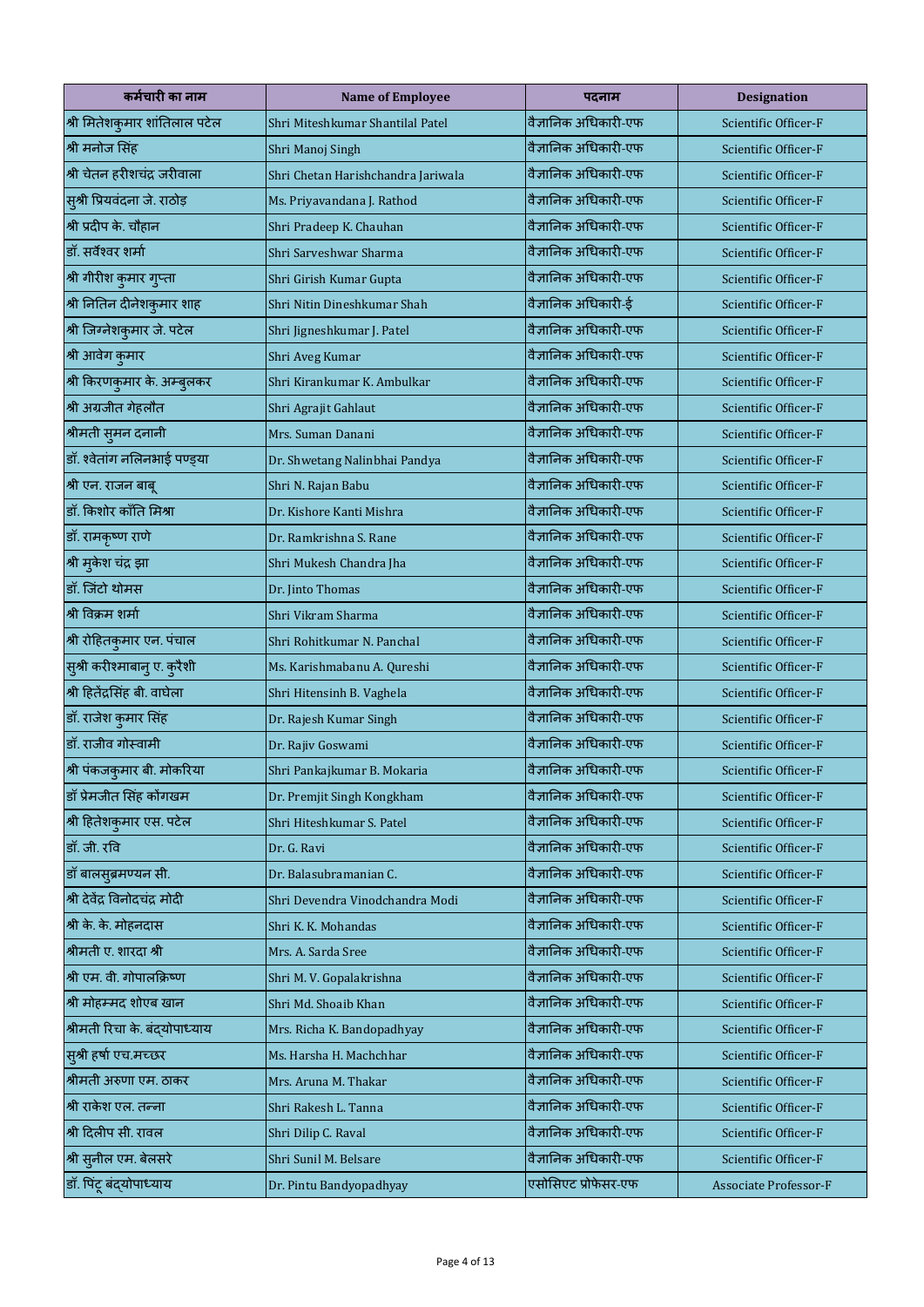| कर्मचारी का नाम               | <b>Name of Employee</b>            | पदनाम                | <b>Designation</b>    |
|-------------------------------|------------------------------------|----------------------|-----------------------|
| श्री मितेशकुमार शांतिलाल पटेल | Shri Miteshkumar Shantilal Patel   | वैज्ञानिक अधिकारी-एफ | Scientific Officer-F  |
| श्री मनोज सिंह                | Shri Manoj Singh                   | वैज्ञानिक अधिकारी-एफ | Scientific Officer-F  |
| श्री चेतन हरीशचंद्र जरीवाला   | Shri Chetan Harishchandra Jariwala | वैज्ञानिक अधिकारी-एफ | Scientific Officer-F  |
| सुश्री प्रियवंदना जे. राठोड़  | Ms. Priyavandana J. Rathod         | वैज्ञानिक अधिकारी-एफ | Scientific Officer-F  |
| श्री प्रदीप के. चौहान         | Shri Pradeep K. Chauhan            | वैज्ञानिक अधिकारी-एफ | Scientific Officer-F  |
| डॉ. सर्वेश्वर शर्मा           | Shri Sarveshwar Sharma             | वैज्ञानिक अधिकारी-एफ | Scientific Officer-F  |
| श्री गीरीश कुमार गुप्ता       | Shri Girish Kumar Gupta            | वैज्ञानिक अधिकारी-एफ | Scientific Officer-F  |
| श्री नितिन दीनेशकुमार शाह     | Shri Nitin Dineshkumar Shah        | वैज्ञानिक अधिकारी-ई  | Scientific Officer-F  |
| श्री जिग्नेशकुमार जे. पटेल    | Shri Jigneshkumar J. Patel         | वैज्ञानिक अधिकारी-एफ | Scientific Officer-F  |
| श्री आवेग कुमार               | Shri Aveg Kumar                    | वैज्ञानिक अधिकारी-एफ | Scientific Officer-F  |
| श्री किरणकुमार के. अम्बुलकर   | Shri Kirankumar K. Ambulkar        | वैज्ञानिक अधिकारी-एफ | Scientific Officer-F  |
| श्री अग्रजीत गेहलौत           | Shri Agrajit Gahlaut               | वैज्ञानिक अधिकारी-एफ | Scientific Officer-F  |
| श्रीमती सुमन दनानी            | Mrs. Suman Danani                  | वैज्ञानिक अधिकारी-एफ | Scientific Officer-F  |
| डॉ. श्वेतांग नलिनभाई पण्ड़या  | Dr. Shwetang Nalinbhai Pandya      | वैज्ञानिक अधिकारी-एफ | Scientific Officer-F  |
| श्री एन. राजन बाबू            | Shri N. Rajan Babu                 | वैज्ञानिक अधिकारी-एफ | Scientific Officer-F  |
| डॉ. किशोर कॉंति मिश्रा        | Dr. Kishore Kanti Mishra           | वैज्ञानिक अधिकारी-एफ | Scientific Officer-F  |
| डॉ. रामकृष्ण राणे             | Dr. Ramkrishna S. Rane             | वैज्ञानिक अधिकारी-एफ | Scientific Officer-F  |
| श्री मुकेश चंद्र झा           | Shri Mukesh Chandra Jha            | वैज्ञानिक अधिकारी-एफ | Scientific Officer-F  |
| डॉ. जिंटो थोमस                | Dr. Jinto Thomas                   | वैज्ञानिक अधिकारी-एफ | Scientific Officer-F  |
| श्री विक्रम शर्मा             | Shri Vikram Sharma                 | वैज्ञानिक अधिकारी-एफ | Scientific Officer-F  |
| श्री रोहितकुमार एन. पंचाल     | Shri Rohitkumar N. Panchal         | वैज्ञानिक अधिकारी-एफ | Scientific Officer-F  |
| सुश्री करीश्माबानु ए. कुरैशी  | Ms. Karishmabanu A. Qureshi        | वैज्ञानिक अधिकारी-एफ | Scientific Officer-F  |
| श्री हितेंद्रसिंह बी. वाघेला  | Shri Hitensinh B. Vaghela          | वैज्ञानिक अधिकारी-एफ | Scientific Officer-F  |
| डॉ. राजेश कुमार सिंह          | Dr. Rajesh Kumar Singh             | वैज्ञानिक अधिकारी-एफ | Scientific Officer-F  |
| डॉ. राजीव गोस्वामी            | Dr. Rajiv Goswami                  | वैज्ञानिक अधिकारी-एफ | Scientific Officer-F  |
| श्री पंकजकुमार बी. मोकरिया    | Shri Pankajkumar B. Mokaria        | वैज्ञानिक अधिकारी-एफ | Scientific Officer-F  |
| डॉ प्रेमजीत सिंह कोंगखम       | Dr. Premjit Singh Kongkham         | वैज्ञानिक अधिकारी-एफ | Scientific Officer-F  |
| श्री हितेशकुमार एस. पटेल      | Shri Hiteshkumar S. Patel          | वैज्ञानिक अधिकारी-एफ | Scientific Officer-F  |
| डॉ. जी. रवि                   | Dr. G. Ravi                        | वैज्ञानिक अधिकारी-एफ | Scientific Officer-F  |
| डॉ बालसुब्रमण्यन सी.          | Dr. Balasubramanian C.             | वैज्ञानिक अधिकारी-एफ | Scientific Officer-F  |
| श्री देवेंद्र विनोदचंद्र मोदी | Shri Devendra Vinodchandra Modi    | वैज्ञानिक अधिकारी-एफ | Scientific Officer-F  |
| श्री के. के. मोहनदास          | Shri K. K. Mohandas                | वैज्ञानिक अधिकारी-एफ | Scientific Officer-F  |
| श्रीमती ए. शारदा श्री         | Mrs. A. Sarda Sree                 | वैज्ञानिक अधिकारी-एफ | Scientific Officer-F  |
| श्री एम. वी. गोपालक्रिष्ण     | Shri M. V. Gopalakrishna           | वैज्ञानिक अधिकारी-एफ | Scientific Officer-F  |
| श्री मोहम्मद शोएब खान         | Shri Md. Shoaib Khan               | वैज्ञानिक अधिकारी-एफ | Scientific Officer-F  |
| श्रीमती रिचा के. बंदयोपाध्याय | Mrs. Richa K. Bandopadhyay         | वैज्ञानिक अधिकारी-एफ | Scientific Officer-F  |
| सुश्री हर्षा एच.मच्छर         | Ms. Harsha H. Machchhar            | वैज्ञानिक अधिकारी-एफ | Scientific Officer-F  |
| श्रीमती अरुणा एम. ठाकर        | Mrs. Aruna M. Thakar               | वैज्ञानिक अधिकारी-एफ | Scientific Officer-F  |
| श्री राकेश एल. तन्ना          | Shri Rakesh L. Tanna               | वैज्ञानिक अधिकारी-एफ | Scientific Officer-F  |
| श्री दिलीप सी. रावल           | Shri Dilip C. Raval                | वैज्ञानिक अधिकारी-एफ | Scientific Officer-F  |
| श्री सुनील एम. बेलसरे         | Shri Sunil M. Belsare              | वैज्ञानिक अधिकारी-एफ | Scientific Officer-F  |
| डॉ. पिंटू बंद्योपाध्याय       | Dr. Pintu Bandyopadhyay            | एसोसिएट प्रोफेसर-एफ  | Associate Professor-F |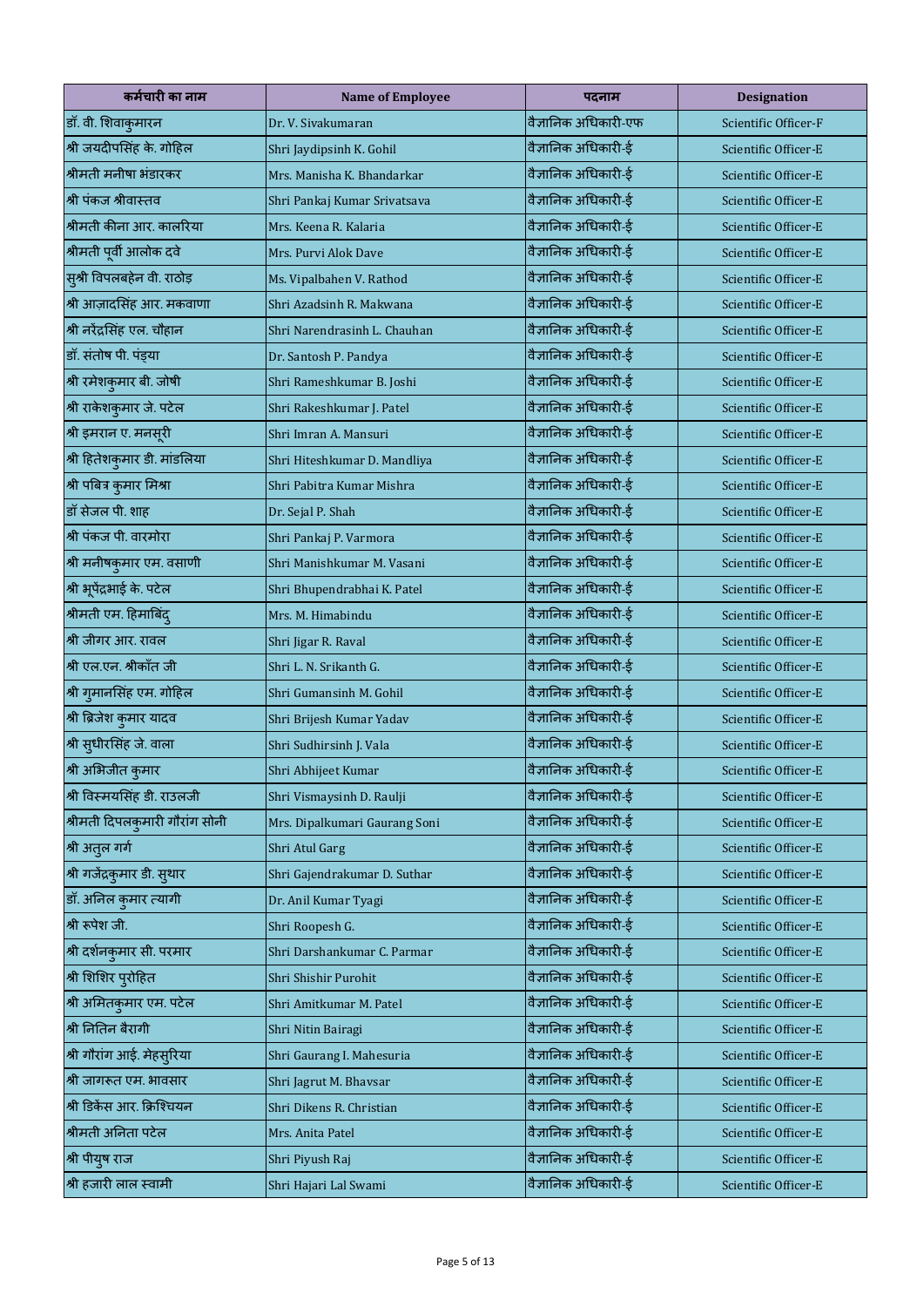| कर्मचारी का नाम                | <b>Name of Employee</b>       | पदनाम                | <b>Designation</b>   |
|--------------------------------|-------------------------------|----------------------|----------------------|
| डॉ. वी. शिवाकुमारन             | Dr. V. Sivakumaran            | वैज्ञानिक अधिकारी-एफ | Scientific Officer-F |
| श्री जयदीपसिंह के. गोहिल       | Shri Jaydipsinh K. Gohil      | वैज्ञानिक अधिकारी-ई  | Scientific Officer-E |
| श्रीमती मनीषा भंडारकर          | Mrs. Manisha K. Bhandarkar    | वैज्ञानिक अधिकारी-ई  | Scientific Officer-E |
| श्री पंकज श्रीवास्तव           | Shri Pankaj Kumar Srivatsava  | वैज्ञानिक अधिकारी-ई  | Scientific Officer-E |
| श्रीमती कीना आर. कालरिया       | Mrs. Keena R. Kalaria         | वैज्ञानिक अधिकारी-ई  | Scientific Officer-E |
| श्रीमती पूर्वी आलोक दवे        | Mrs. Purvi Alok Dave          | वैज्ञानिक अधिकारी-ई  | Scientific Officer-E |
| सुश्री विपलबहेन वी. राठोड़     | Ms. Vipalbahen V. Rathod      | वैज्ञानिक अधिकारी-ई  | Scientific Officer-E |
| श्री आज़ादसिंह आर. मकवाणा      | Shri Azadsinh R. Makwana      | वैज्ञानिक अधिकारी-ई  | Scientific Officer-E |
| श्री नरेंद्रसिंह एल. चौहान     | Shri Narendrasinh L. Chauhan  | वैज्ञानिक अधिकारी-ई  | Scientific Officer-E |
| डॉ. संतोष पी. पंड्या           | Dr. Santosh P. Pandya         | वैज्ञानिक अधिकारी-ई  | Scientific Officer-E |
| श्री रमेशकुमार बी. जोषी        | Shri Rameshkumar B. Joshi     | वैज्ञानिक अधिकारी-ई  | Scientific Officer-E |
| श्री राकेशकुमार जे. पटेल       | Shri Rakeshkumar J. Patel     | वैज्ञानिक अधिकारी-ई  | Scientific Officer-E |
| श्री इमरान ए. मनसूरी           | Shri Imran A. Mansuri         | वैज्ञानिक अधिकारी-ई  | Scientific Officer-E |
| श्री हितेशकुमार डी. मांडलिया   | Shri Hiteshkumar D. Mandliya  | वैज्ञानिक अधिकारी-ई  | Scientific Officer-E |
| श्री पबित्र कुमार मिश्रा       | Shri Pabitra Kumar Mishra     | वैज्ञानिक अधिकारी-ई  | Scientific Officer-E |
| डॉ सेजल पी. शाह                | Dr. Sejal P. Shah             | वैज्ञानिक अधिकारी-ई  | Scientific Officer-E |
| श्री पंकज पी. वारमोरा          | Shri Pankaj P. Varmora        | वैज्ञानिक अधिकारी-ई  | Scientific Officer-E |
| श्री मनीषकुमार एम. वसाणी       | Shri Manishkumar M. Vasani    | वैज्ञानिक अधिकारी-ई  | Scientific Officer-E |
| श्री भूपेंद्रभाई के. पटेल      | Shri Bhupendrabhai K. Patel   | वैज्ञानिक अधिकारी-ई  | Scientific Officer-E |
| श्रीमती एम. हिमाबिंद्          | Mrs. M. Himabindu             | वैज्ञानिक अधिकारी-ई  | Scientific Officer-E |
| श्री जीगर आर. रावल             | Shri Jigar R. Raval           | वैज्ञानिक अधिकारी-ई  | Scientific Officer-E |
| श्री एल.एन. श्रीकॉंत जी        | Shri L. N. Srikanth G.        | वैज्ञानिक अधिकारी-ई  | Scientific Officer-E |
| श्री गुमानसिंह एम. गोहिल       | Shri Gumansinh M. Gohil       | वैज्ञानिक अधिकारी-ई  | Scientific Officer-E |
| श्री ब्रिजेश कुमार यादव        | Shri Brijesh Kumar Yadav      | वैज्ञानिक अधिकारी-ई  | Scientific Officer-E |
| श्री सुधीरसिंह जे. वाला        | Shri Sudhirsinh J. Vala       | वैज्ञानिक अधिकारी-ई  | Scientific Officer-E |
| श्री अभिजीत कुमार              | Shri Abhijeet Kumar           | वैज्ञानिक अधिकारी-ई  | Scientific Officer-E |
| श्री विस्मयसिंह डी. राउलजी     | Shri Vismaysinh D. Raulji     | वैज्ञानिक अधिकारी-ई  | Scientific Officer-E |
| श्रीमती दिपलकुमारी गौरांग सोनी | Mrs. Dipalkumari Gaurang Soni | वैज्ञानिक अधिकारी-ई  | Scientific Officer-E |
| श्री अतुल गर्ग                 | Shri Atul Garg                | वैज्ञानिक अधिकारी-ई  | Scientific Officer-E |
| श्री गजेंद्रकुमार डी. सुथार    | Shri Gajendrakumar D. Suthar  | वैज्ञानिक अधिकारी-ई  | Scientific Officer-E |
| डॉ. अनिल कुमार त्यागी          | Dr. Anil Kumar Tyagi          | वैज्ञानिक अधिकारी-ई  | Scientific Officer-E |
| श्री रूपेश जी.                 | Shri Roopesh G.               | वैज्ञानिक अधिकारी-ई  | Scientific Officer-E |
| श्री दर्शनकुमार सी. परमार      | Shri Darshankumar C. Parmar   | वैज्ञानिक अधिकारी-ई  | Scientific Officer-E |
| श्री शिशिर पुरोहित             | Shri Shishir Purohit          | वैज्ञानिक अधिकारी-ई  | Scientific Officer-E |
| श्री अमितकुमार एम. पटेल        | Shri Amitkumar M. Patel       | वैज्ञानिक अधिकारी-ई  | Scientific Officer-E |
| श्री नितिन बैरागी              | Shri Nitin Bairagi            | वैज्ञानिक अधिकारी-ई  | Scientific Officer-E |
| श्री गौरांग आई. मेहसुरिया      | Shri Gaurang I. Mahesuria     | वैज्ञानिक अधिकारी-ई  | Scientific Officer-E |
| श्री जागरूत एम. भावसार         | Shri Jagrut M. Bhavsar        | वैज्ञानिक अधिकारी-ई  | Scientific Officer-E |
| श्री डिकेंस आर. क्रिश्चियन     | Shri Dikens R. Christian      | वैज्ञानिक अधिकारी-ई  | Scientific Officer-E |
| श्रीमती अनिता पटेल             | Mrs. Anita Patel              | वैज्ञानिक अधिकारी-ई  | Scientific Officer-E |
| श्री पीयुष राज                 | Shri Piyush Raj               | वैज्ञानिक अधिकारी-ई  | Scientific Officer-E |
| श्री हजारी लाल स्वामी          | Shri Hajari Lal Swami         | वैज्ञानिक अधिकारी-ई  | Scientific Officer-E |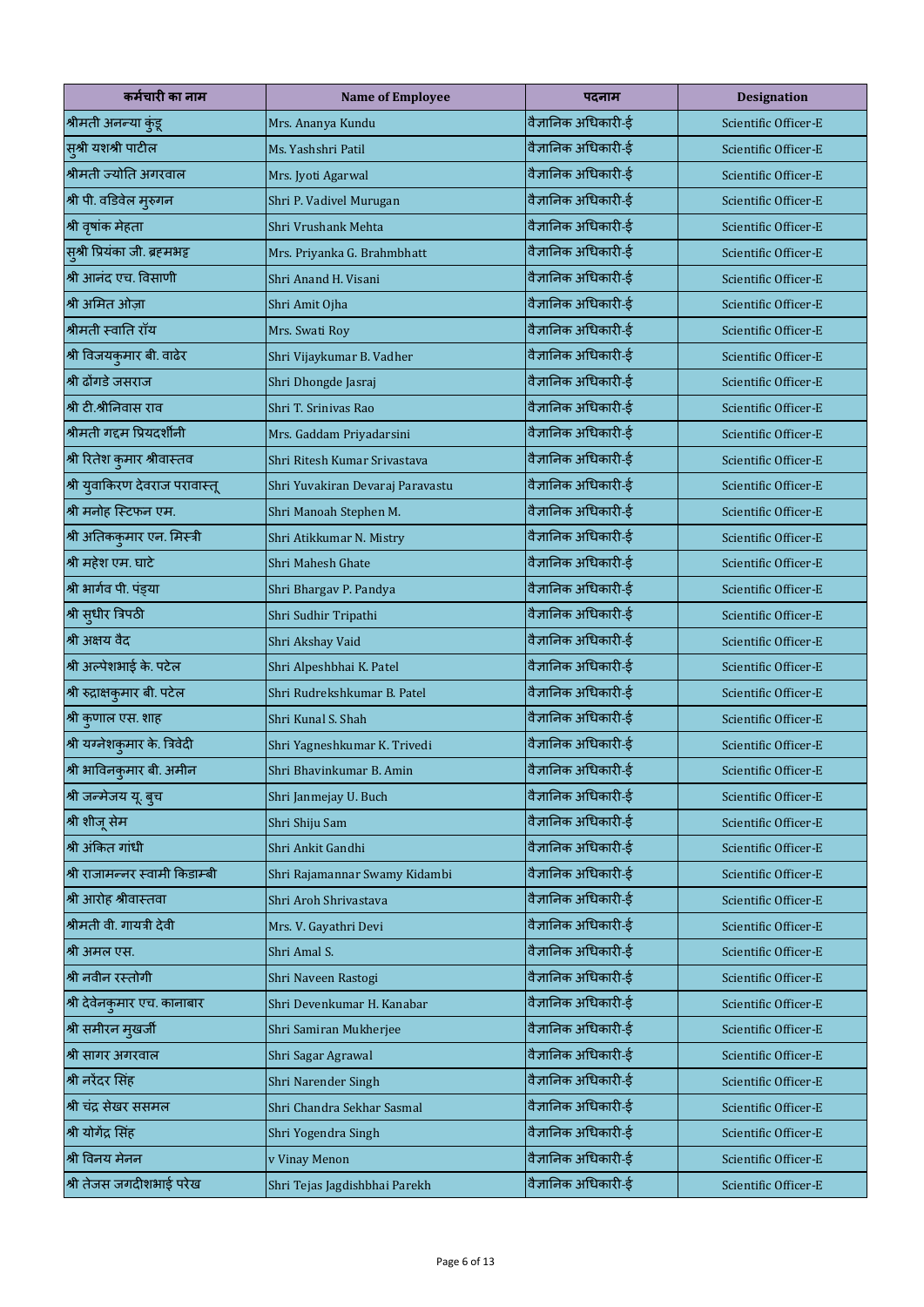| कर्मचारी का नाम                | <b>Name of Employee</b>          | पदनाम               | <b>Designation</b>   |
|--------------------------------|----------------------------------|---------------------|----------------------|
| श्रीमती अनन्या कुंडू           | Mrs. Ananya Kundu                | वैज्ञानिक अधिकारी-ई | Scientific Officer-E |
| सुश्री यशश्री पाटील            | Ms. Yashshri Patil               | वैज्ञानिक अधिकारी-ई | Scientific Officer-E |
| श्रीमती ज्योति अगरवाल          | Mrs. Jyoti Agarwal               | वैज्ञानिक अधिकारी-ई | Scientific Officer-E |
| श्री पी. वडिवेल मुरुगन         | Shri P. Vadivel Murugan          | वैज्ञानिक अधिकारी-ई | Scientific Officer-E |
| श्री वृषांक मेहता              | Shri Vrushank Mehta              | वैज्ञानिक अधिकारी-ई | Scientific Officer-E |
| सुश्री प्रियंका जी. ब्रहमभट्ट  | Mrs. Priyanka G. Brahmbhatt      | वैज्ञानिक अधिकारी-ई | Scientific Officer-E |
| श्री आनंद एच. विसाणी           | Shri Anand H. Visani             | वैज्ञानिक अधिकारी-ई | Scientific Officer-E |
| श्री अमित ओज़ा                 | Shri Amit Ojha                   | वैज्ञानिक अधिकारी-ई | Scientific Officer-E |
| श्रीमती स्वाति रॉय             | Mrs. Swati Roy                   | वैज्ञानिक अधिकारी-ई | Scientific Officer-E |
| श्री विजयकुमार बी. वाढेर       | Shri Vijaykumar B. Vadher        | वैज्ञानिक अधिकारी-ई | Scientific Officer-E |
| श्री ढोंगडे जसराज              | Shri Dhongde Jasraj              | वैज्ञानिक अधिकारी-ई | Scientific Officer-E |
| श्री टी.श्रीनिवास राव          | Shri T. Srinivas Rao             | वैज्ञानिक अधिकारी-ई | Scientific Officer-E |
| श्रीमती गद्दम प्रियदर्शीनी     | Mrs. Gaddam Priyadarsini         | वैज्ञानिक अधिकारी-ई | Scientific Officer-E |
| श्री रितेश कुमार श्रीवास्तव    | Shri Ritesh Kumar Srivastava     | वैज्ञानिक अधिकारी-ई | Scientific Officer-E |
| श्री युवाकिरण देवराज परावास्तू | Shri Yuvakiran Devaraj Paravastu | वैज्ञानिक अधिकारी-ई | Scientific Officer-E |
| श्री मनोह स्टिफन एम.           | Shri Manoah Stephen M.           | वैज्ञानिक अधिकारी-ई | Scientific Officer-E |
| श्री अतिककुमार एन. मिस्त्री    | Shri Atikkumar N. Mistry         | वैज्ञानिक अधिकारी-ई | Scientific Officer-E |
| श्री महेश एम. घाटे             | Shri Mahesh Ghate                | वैज्ञानिक अधिकारी-ई | Scientific Officer-E |
| श्री भार्गव पी. पंड्या         | Shri Bhargav P. Pandya           | वैज्ञानिक अधिकारी-ई | Scientific Officer-E |
| श्री सुधीर त्रिपठी             | Shri Sudhir Tripathi             | वैज्ञानिक अधिकारी-ई | Scientific Officer-E |
| श्री अक्षय वैद                 | Shri Akshay Vaid                 | वैज्ञानिक अधिकारी-ई | Scientific Officer-E |
| श्री अल्पेशभाई के. पटेल        | Shri Alpeshbhai K. Patel         | वैज्ञानिक अधिकारी-ई | Scientific Officer-E |
| श्री रुद्राक्षकुमार बी. पटेल   | Shri Rudrekshkumar B. Patel      | वैज्ञानिक अधिकारी-ई | Scientific Officer-E |
| श्री कुणाल एस. शाह             | Shri Kunal S. Shah               | वैज्ञानिक अधिकारी-ई | Scientific Officer-E |
| श्री यग्नेशकुमार के. त्रिवेदी  | Shri Yagneshkumar K. Trivedi     | वैज्ञानिक अधिकारी-ई | Scientific Officer-E |
| श्री भाविनकुमार बी. अमीन       | Shri Bhavinkumar B. Amin         | वैज्ञानिक अधिकारी-ई | Scientific Officer-E |
| श्री जन्मेजय यू. बुच           | Shri Janmejay U. Buch            | वैज्ञानिक अधिकारी-ई | Scientific Officer-E |
| श्री शीजू सेम                  | Shri Shiju Sam                   | वैज्ञानिक अधिकारी-ई | Scientific Officer-E |
| श्री अंकित गांधी               | Shri Ankit Gandhi                | वैज्ञानिक अधिकारी-ई | Scientific Officer-E |
| श्री राजामन्नर स्वामी किडाम्बी | Shri Rajamannar Swamy Kidambi    | वैज्ञानिक अधिकारी-ई | Scientific Officer-E |
| श्री आरोह श्रीवास्तवा          | Shri Aroh Shrivastava            | वैज्ञानिक अधिकारी-ई | Scientific Officer-E |
| श्रीमती वी. गायत्री देवी       | Mrs. V. Gayathri Devi            | वैज्ञानिक अधिकारी-ई | Scientific Officer-E |
| श्री अमल एस.                   | Shri Amal S.                     | वैज्ञानिक अधिकारी-ई | Scientific Officer-E |
| श्री नवीन रस्तोगी              | Shri Naveen Rastogi              | वैज्ञानिक अधिकारी-ई | Scientific Officer-E |
| श्री देवेनकुमार एच. कानाबार    | Shri Devenkumar H. Kanabar       | वैज्ञानिक अधिकारी-ई | Scientific Officer-E |
| श्री समीरन मुखर्जी             | Shri Samiran Mukherjee           | वैज्ञानिक अधिकारी-ई | Scientific Officer-E |
| श्री सागर अगरवाल               | Shri Sagar Agrawal               | वैज्ञानिक अधिकारी-ई | Scientific Officer-E |
| श्री नरेंदर सिंह               | Shri Narender Singh              | वैज्ञानिक अधिकारी-ई | Scientific Officer-E |
| श्री चंद्र सेखर ससमल           | Shri Chandra Sekhar Sasmal       | वैज्ञानिक अधिकारी-ई | Scientific Officer-E |
| श्री योगेंद्र सिंह             | Shri Yogendra Singh              | वैज्ञानिक अधिकारी-ई | Scientific Officer-E |
| श्री विनय मेनन                 | v Vinay Menon                    | वैज्ञानिक अधिकारी-ई | Scientific Officer-E |
| श्री तेजस जगदीशभाई परेख        | Shri Tejas Jagdishbhai Parekh    | वैज्ञानिक अधिकारी-ई | Scientific Officer-E |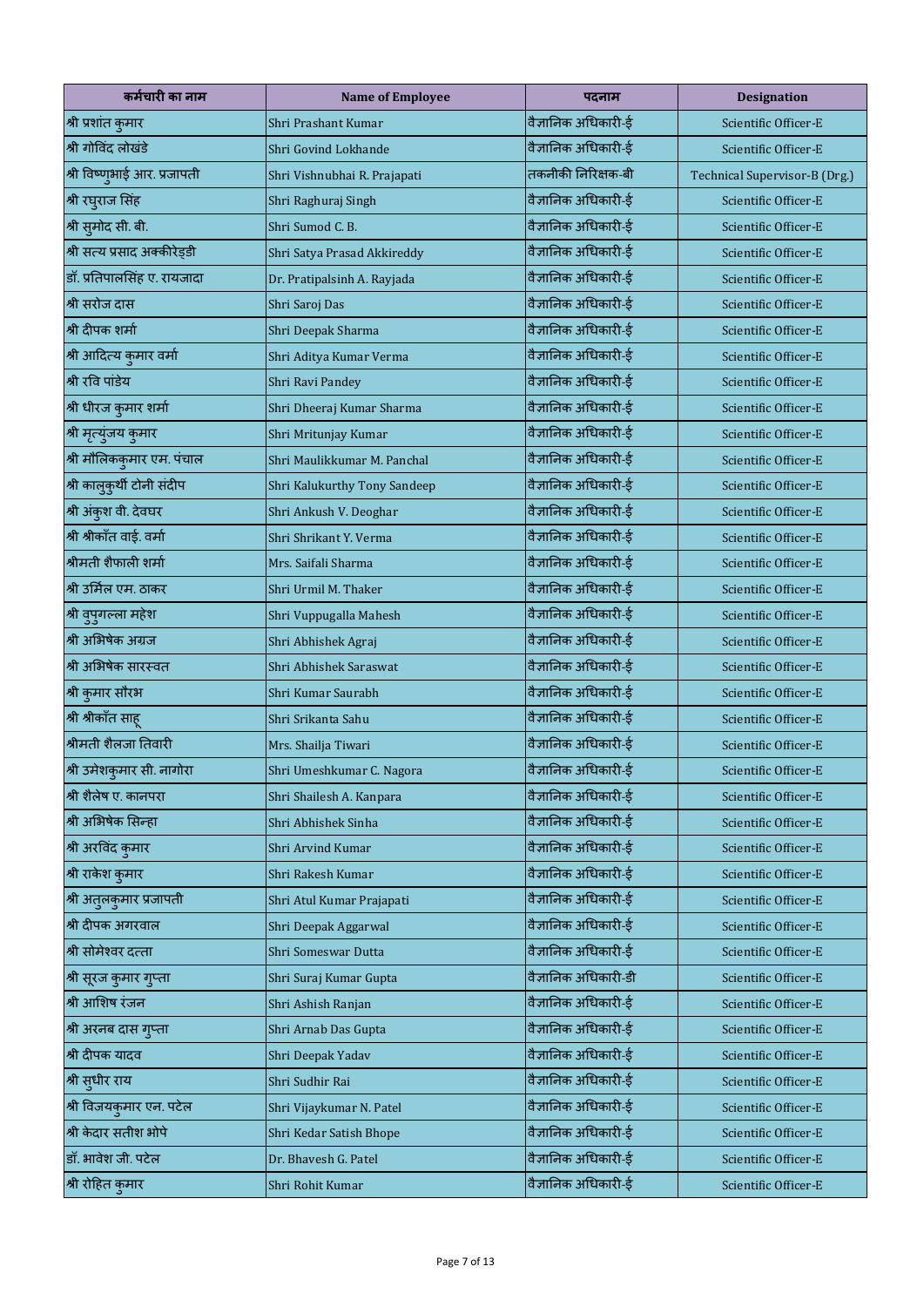| कर्मचारी का नाम              | <b>Name of Employee</b>      | पदनाम                | <b>Designation</b>            |
|------------------------------|------------------------------|----------------------|-------------------------------|
| श्री प्रशांत कुमार           | Shri Prashant Kumar          | वैज्ञानिक अधिकारी-ई  | Scientific Officer-E          |
| श्री गोविंद लोखंडे           | Shri Govind Lokhande         | वैज्ञानिक अधिकारी-ई  | Scientific Officer-E          |
| श्री विष्णुभाई आर. प्रजापती  | Shri Vishnubhai R. Prajapati | तकनीकी निरिक्षक-बी   | Technical Supervisor-B (Drg.) |
| श्री रघुराज सिंह             | Shri Raghuraj Singh          | वैज्ञानिक अधिकारी-ई  | Scientific Officer-E          |
| श्री सुमोद सी. बी.           | Shri Sumod C. B.             | वैज्ञानिक अधिकारी-ई  | Scientific Officer-E          |
| श्री सत्य प्रसाद अक्कीरेड्डी | Shri Satya Prasad Akkireddy  | वैज्ञानिक अधिकारी-ई  | Scientific Officer-E          |
| डॉ. प्रतिपालसिंह ए. रायजादा  | Dr. Pratipalsinh A. Rayjada  | वैज्ञानिक अधिकारी-ई  | Scientific Officer-E          |
| श्री सरोज दास                | Shri Saroj Das               | वैज्ञानिक अधिकारी-ई  | Scientific Officer-E          |
| श्री दीपक शर्मा              | Shri Deepak Sharma           | वैज्ञानिक अधिकारी-ई  | Scientific Officer-E          |
| श्री आदित्य कुमार वर्मा      | Shri Aditya Kumar Verma      | वैज्ञानिक अधिकारी-ई  | Scientific Officer-E          |
| श्री रवि पांडेय              | Shri Ravi Pandey             | वैज्ञानिक अधिकारी-ई  | Scientific Officer-E          |
| श्री धीरज कुमार शर्मा        | Shri Dheeraj Kumar Sharma    | वैज्ञानिक अधिकारी-ई  | Scientific Officer-E          |
| श्री मृत्युंजय कुमार         | Shri Mritunjay Kumar         | वैज्ञानिक अधिकारी-ई  | Scientific Officer-E          |
| श्री मौलिककुमार एम. पंचाल    | Shri Maulikkumar M. Panchal  | वैज्ञानिक अधिकारी-ई  | Scientific Officer-E          |
| श्री कालुकुर्थी टोनी संदीप   | Shri Kalukurthy Tony Sandeep | वैज्ञानिक अधिकारी-ई  | Scientific Officer-E          |
| श्री अंकुश वी. देवघर         | Shri Ankush V. Deoghar       | वैज्ञानिक अधिकारी-ई  | Scientific Officer-E          |
| श्री श्रीकाँत वाई. वर्मा     | Shri Shrikant Y. Verma       | वैज्ञानिक अधिकारी-ई  | Scientific Officer-E          |
| श्रीमती शैफाली शर्मा         | Mrs. Saifali Sharma          | वैज्ञानिक अधिकारी-ई  | Scientific Officer-E          |
| श्री उर्मिल एम. ठाकर         | Shri Urmil M. Thaker         | वैज्ञानिक अधिकारी-ई  | Scientific Officer-E          |
| श्री वुपुगल्ला महेश          | Shri Vuppugalla Mahesh       | वैज्ञानिक अधिकारी-ई  | Scientific Officer-E          |
| श्री अभिषेक अग्रज            | Shri Abhishek Agraj          | वैज्ञानिक अधिकारी-ई  | Scientific Officer-E          |
| श्री अभिषेक सारस्वत          | Shri Abhishek Saraswat       | वैज्ञानिक अधिकारी-ई  | Scientific Officer-E          |
| श्री कुमार सौरभ              | Shri Kumar Saurabh           | वैज्ञानिक अधिकारी-ई  | Scientific Officer-E          |
| श्री श्रीकॉंत साहू           | Shri Srikanta Sahu           | वैज्ञानिक अधिकारी-ई  | Scientific Officer-E          |
| श्रीमती शैलजा तिवारी         | Mrs. Shailja Tiwari          | वैज्ञानिक अधिकारी-ई  | Scientific Officer-E          |
| श्री उमेशकुमार सी. नागोरा    | Shri Umeshkumar C. Nagora    | वैज्ञानिक अधिकारी-ई  | Scientific Officer-E          |
| श्री शैलेष ए. कानपरा         | Shri Shailesh A. Kanpara     | वैज्ञानिक अधिकारी-ई  | Scientific Officer-E          |
| श्री अभिषेक सिन्हा           | Shri Abhishek Sinha          | वैज्ञानिक अधिकारी-ई  | Scientific Officer-E          |
| श्री अरविंद कुमार            | Shri Arvind Kumar            | वैज्ञानिक अधिकारी-ई  | Scientific Officer-E          |
| श्री राकेश कुमार             | Shri Rakesh Kumar            | वैज्ञानिक अधिकारी-ई  | Scientific Officer-E          |
| श्री अतुलकुमार प्रजापती      | Shri Atul Kumar Prajapati    | वैज्ञानिक अधिकारी-ई  | Scientific Officer-E          |
| श्री दीपक अगरवाल             | Shri Deepak Aggarwal         | वैज्ञानिक अधिकारी-ई  | Scientific Officer-E          |
| श्री सोमेश्वर दत्ता          | Shri Someswar Dutta          | वैज्ञानिक अधिकारी-ई  | Scientific Officer-E          |
| श्री सूरज कुमार गुप्ता       | Shri Suraj Kumar Gupta       | वैज्ञानिक अधिकारी-डी | Scientific Officer-E          |
| श्री आशिष रंजन               | Shri Ashish Ranjan           | वैज्ञानिक अधिकारी-ई  | Scientific Officer-E          |
| श्री अरनब दास गुप्ता         | Shri Arnab Das Gupta         | वैज्ञानिक अधिकारी-ई  | Scientific Officer-E          |
| श्री दीपक यादव               | Shri Deepak Yadav            | वैज्ञानिक अधिकारी-ई  | Scientific Officer-E          |
| श्री सुधीर राय               | Shri Sudhir Rai              | वैज्ञानिक अधिकारी-ई  | Scientific Officer-E          |
| श्री विजयकुमार एन. पटेल      | Shri Vijaykumar N. Patel     | वैज्ञानिक अधिकारी-ई  | Scientific Officer-E          |
| श्री केदार सतीश भोपे         | Shri Kedar Satish Bhope      | वैज्ञानिक अधिकारी-ई  | Scientific Officer-E          |
| डॉ. भावेश जी. पटेल           | Dr. Bhavesh G. Patel         | वैज्ञानिक अधिकारी-ई  | Scientific Officer-E          |
| श्री रोहित कुमार             | Shri Rohit Kumar             | वैज्ञानिक अधिकारी-ई  | Scientific Officer-E          |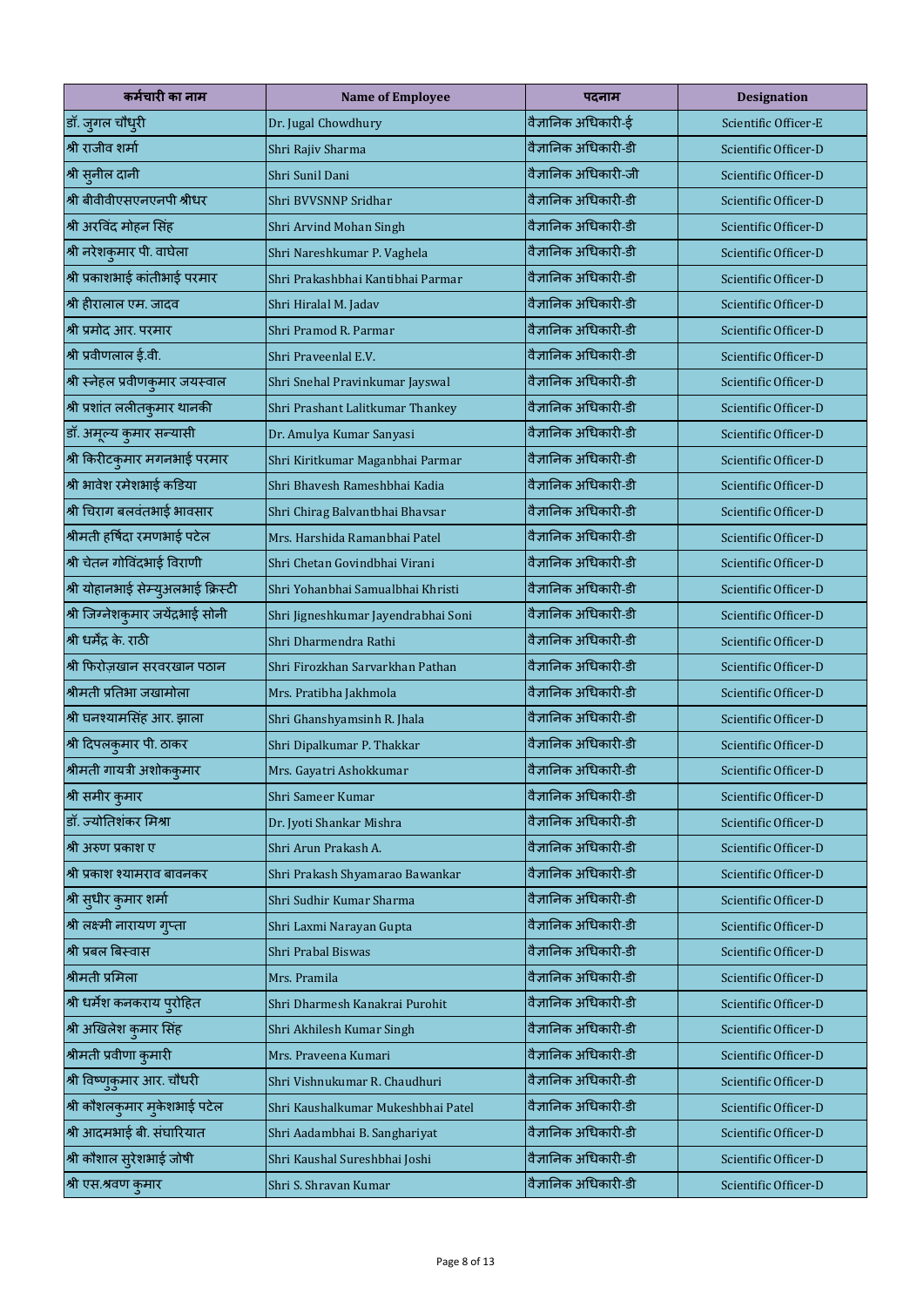| कर्मचारी का नाम                    | <b>Name of Employee</b>             | पदनाम                | <b>Designation</b>   |
|------------------------------------|-------------------------------------|----------------------|----------------------|
| डॉ. जुगल चौधुरी                    | Dr. Jugal Chowdhury                 | वैज्ञानिक अधिकारी-ई  | Scientific Officer-E |
| श्री राजीव शर्मा                   | Shri Rajiv Sharma                   | वैज्ञानिक अधिकारी-डी | Scientific Officer-D |
| श्री सुनील दानी                    | Shri Sunil Dani                     | वैज्ञानिक अधिकारी-जी | Scientific Officer-D |
| श्री बीवीवीएसएनएनपी श्रीधर         | Shri BVVSNNP Sridhar                | वैज्ञानिक अधिकारी-डी | Scientific Officer-D |
| श्री अरविंद मोहन सिंह              | Shri Arvind Mohan Singh             | वैज्ञानिक अधिकारी-डी | Scientific Officer-D |
| श्री नरेशकुमार पी. वाघेला          | Shri Nareshkumar P. Vaghela         | वैज्ञानिक अधिकारी-डी | Scientific Officer-D |
| श्री प्रकाशभाई कांतीभाई परमार      | Shri Prakashbhai Kantibhai Parmar   | वैज्ञानिक अधिकारी-डी | Scientific Officer-D |
| श्री हीरालाल एम. जादव              | Shri Hiralal M. Jadav               | वैज्ञानिक अधिकारी-डी | Scientific Officer-D |
| श्री प्रमोद आर. परमार              | Shri Pramod R. Parmar               | वैज्ञानिक अधिकारी-डी | Scientific Officer-D |
| श्री प्रवीणलाल ई.वी.               | Shri Praveenlal E.V.                | वैज्ञानिक अधिकारी-डी | Scientific Officer-D |
| श्री स्नेहल प्रवीणकुमार जयस्वाल    | Shri Snehal Pravinkumar Jayswal     | वैज्ञानिक अधिकारी-डी | Scientific Officer-D |
| श्री प्रशांत ललीतकुमार थानकी       | Shri Prashant Lalitkumar Thankey    | वैज्ञानिक अधिकारी-डी | Scientific Officer-D |
| डॉ. अमूल्य कुमार सन्यासी           | Dr. Amulya Kumar Sanyasi            | वैज्ञानिक अधिकारी-डी | Scientific Officer-D |
| श्री किरीटकुमार मगनभाई परमार       | Shri Kiritkumar Maganbhai Parmar    | वैज्ञानिक अधिकारी-डी | Scientific Officer-D |
| श्री भावेश रमेशभाई कडिया           | Shri Bhavesh Rameshbhai Kadia       | वैज्ञानिक अधिकारी-डी | Scientific Officer-D |
| श्री चिराग बलवंतभाई भावसार         | Shri Chirag Balvantbhai Bhavsar     | वैज्ञानिक अधिकारी-डी | Scientific Officer-D |
| श्रीमती हर्षिदा रमणभाई पटेल        | Mrs. Harshida Ramanbhai Patel       | वैज्ञानिक अधिकारी-डी | Scientific Officer-D |
| श्री चेतन गोविंदभाई विराणी         | Shri Chetan Govindbhai Virani       | वैज्ञानिक अधिकारी-डी | Scientific Officer-D |
| श्री योहानभाई सेम्युअलभाई क्रिस्टी | Shri Yohanbhai Samualbhai Khristi   | वैज्ञानिक अधिकारी-डी | Scientific Officer-D |
| श्री जिग्नेशकुमार जयेंद्रभाई सोनी  | Shri Jigneshkumar Jayendrabhai Soni | वैज्ञानिक अधिकारी-डी | Scientific Officer-D |
| श्री धर्मेंद्र के. राठी            | Shri Dharmendra Rathi               | वैज्ञानिक अधिकारी-डी | Scientific Officer-D |
| श्री फिरोज़खान सरवरखान पठान        | Shri Firozkhan Sarvarkhan Pathan    | वैज्ञानिक अधिकारी-डी | Scientific Officer-D |
| श्रीमती प्रतिभा जखामोला            | Mrs. Pratibha Jakhmola              | वैज्ञानिक अधिकारी-डी | Scientific Officer-D |
| श्री घनश्यामसिंह आर. झाला          | Shri Ghanshyamsinh R. Jhala         | वैज्ञानिक अधिकारी-डी | Scientific Officer-D |
| श्री दिपलकुमार पी. ठाकर            | Shri Dipalkumar P. Thakkar          | वैज्ञानिक अधिकारी-डी | Scientific Officer-D |
| श्रीमती गायत्री अशोककुमार          | Mrs. Gayatri Ashokkumar             | वैज्ञानिक अधिकारी-डी | Scientific Officer-D |
| श्री समीर कुमार                    | Shri Sameer Kumar                   | वैज्ञानिक अधिकारी-डी | Scientific Officer-D |
| डॉ. ज्योतिशंकर मिश्रा              | Dr. Jyoti Shankar Mishra            | वैज्ञानिक अधिकारी-डी | Scientific Officer-D |
| श्री अरुण प्रकाश ए                 | Shri Arun Prakash A.                | वैज्ञानिक अधिकारी-डी | Scientific Officer-D |
| श्री प्रकाश श्यामराव बावनकर        | Shri Prakash Shyamarao Bawankar     | वैज्ञानिक अधिकारी-डी | Scientific Officer-D |
| श्री सुधीर कुमार शर्मा             | Shri Sudhir Kumar Sharma            | वैज्ञानिक अधिकारी-डी | Scientific Officer-D |
| श्री लक्ष्मी नारायण गुप्ता         | Shri Laxmi Narayan Gupta            | वैज्ञानिक अधिकारी-डी | Scientific Officer-D |
| श्री प्रबल बिस्वास                 | Shri Prabal Biswas                  | वैज्ञानिक अधिकारी-डी | Scientific Officer-D |
| श्रीमती प्रमिला                    | Mrs. Pramila                        | वैज्ञानिक अधिकारी-डी | Scientific Officer-D |
| श्री धर्मेश कनकराय प्रोहित         | Shri Dharmesh Kanakrai Purohit      | वैज्ञानिक अधिकारी-डी | Scientific Officer-D |
| श्री अखिलेश कुमार सिंह             | Shri Akhilesh Kumar Singh           | वैज्ञानिक अधिकारी-डी | Scientific Officer-D |
| श्रीमती प्रवीणा कुमारी             | Mrs. Praveena Kumari                | वैज्ञानिक अधिकारी-डी | Scientific Officer-D |
| श्री विष्णुकुमार आर. चौधरी         | Shri Vishnukumar R. Chaudhuri       | वैज्ञानिक अधिकारी-डी | Scientific Officer-D |
| श्री कौशलकुमार मुकेशभाई पटेल       | Shri Kaushalkumar Mukeshbhai Patel  | वैज्ञानिक अधिकारी-डी | Scientific Officer-D |
| श्री आदमभाई बी. संघारियात          | Shri Aadambhai B. Sanghariyat       | वैज्ञानिक अधिकारी-डी | Scientific Officer-D |
| श्री कौशाल सुरेशभाई जोषी           | Shri Kaushal Sureshbhai Joshi       | वैज्ञानिक अधिकारी-डी | Scientific Officer-D |
| श्री एस.श्रवण कुमार                | Shri S. Shravan Kumar               | वैज्ञानिक अधिकारी-डी | Scientific Officer-D |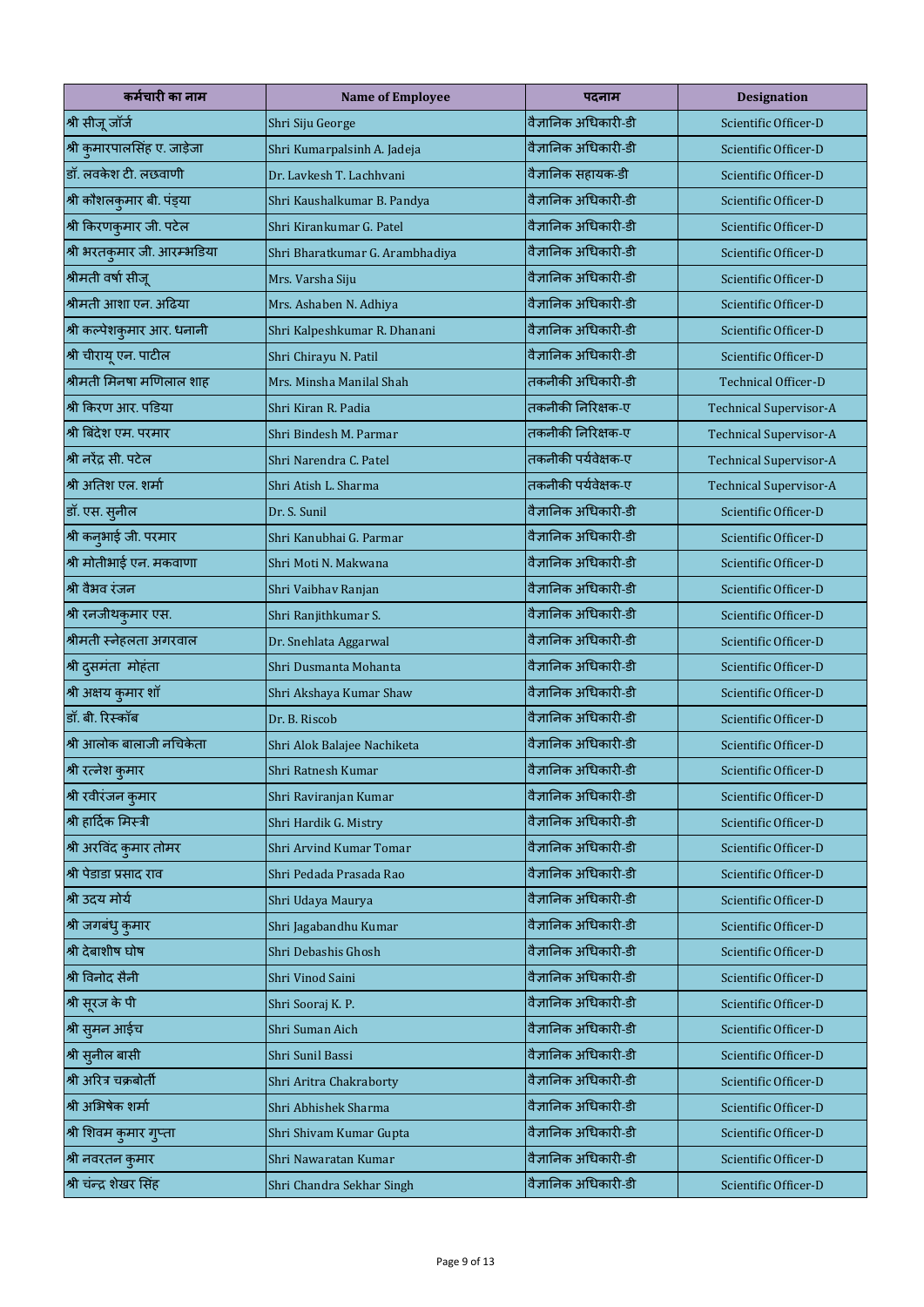| कर्मचारी का नाम              | <b>Name of Employee</b>         | पदनाम                | <b>Designation</b>            |
|------------------------------|---------------------------------|----------------------|-------------------------------|
| श्री सीजू जॉर्ज              | Shri Siju George                | वैज्ञानिक अधिकारी-डी | Scientific Officer-D          |
| श्री कुमारपालसिंह ए. जाड़ेजा | Shri Kumarpalsinh A. Jadeja     | वैज्ञानिक अधिकारी-डी | Scientific Officer-D          |
| डॉ. लवकेश टी. लछवाणी         | Dr. Lavkesh T. Lachhyani        | वैज्ञानिक सहायक-डी   | Scientific Officer-D          |
| श्री कौशलकुमार बी. पंड्या    | Shri Kaushalkumar B. Pandya     | वैज्ञानिक अधिकारी-डी | Scientific Officer-D          |
| श्री किरणकुमार जी. पटेल      | Shri Kirankumar G. Patel        | वैज्ञानिक अधिकारी-डी | Scientific Officer-D          |
| श्री भरतकुमार जी. आरम्भडिया  | Shri Bharatkumar G. Arambhadiya | वैज्ञानिक अधिकारी-डी | Scientific Officer-D          |
| श्रीमती वर्षा सीजू           | Mrs. Varsha Siju                | वैज्ञानिक अधिकारी-डी | Scientific Officer-D          |
| श्रीमती आशा एन. अढिया        | Mrs. Ashaben N. Adhiya          | वैज्ञानिक अधिकारी-डी | Scientific Officer-D          |
| श्री कल्पेशकुमार आर. धनानी   | Shri Kalpeshkumar R. Dhanani    | वैज्ञानिक अधिकारी-डी | Scientific Officer-D          |
| श्री चीरायू एन. पाटील        | Shri Chirayu N. Patil           | वैज्ञानिक अधिकारी-डी | Scientific Officer-D          |
| श्रीमती मिनषा मणिलाल शाह     | Mrs. Minsha Manilal Shah        | तकनीकी अधिकारी-डी    | <b>Technical Officer-D</b>    |
| श्री किरण आर. पडिया          | Shri Kiran R. Padia             | तकनीकी निरिक्षक-ए    | <b>Technical Supervisor-A</b> |
| श्री बिंदेश एम. परमार        | Shri Bindesh M. Parmar          | तकनीकी निरिक्षक-ए    | <b>Technical Supervisor-A</b> |
| श्री नरेंद्र सी. पटेल        | Shri Narendra C. Patel          | तकनीकी पर्यवेक्षक-ए  | <b>Technical Supervisor-A</b> |
| श्री अतिश एल. शर्मा          | Shri Atish L. Sharma            | तकनीकी पर्यवेक्षक-ए  | <b>Technical Supervisor-A</b> |
| डॉ. एस. सुनील                | Dr. S. Sunil                    | वैज्ञानिक अधिकारी-डी | Scientific Officer-D          |
| श्री कनुभाई जी. परमार        | Shri Kanubhai G. Parmar         | वैज्ञानिक अधिकारी-डी | Scientific Officer-D          |
| श्री मोतीभाई एन. मकवाणा      | Shri Moti N. Makwana            | वैज्ञानिक अधिकारी-डी | Scientific Officer-D          |
| श्री वैभव रंजन               | Shri Vaibhav Ranjan             | वैज्ञानिक अधिकारी-डी | Scientific Officer-D          |
| श्री रनजीथकुमार एस.          | Shri Ranjithkumar S.            | वैज्ञानिक अधिकारी-डी | Scientific Officer-D          |
| श्रीमती स्नेहलता अगरवाल      | Dr. Snehlata Aggarwal           | वैज्ञानिक अधिकारी-डी | Scientific Officer-D          |
| श्री दुसमंता मोहंता          | Shri Dusmanta Mohanta           | वैज्ञानिक अधिकारी-डी | Scientific Officer-D          |
| श्री अक्षय कुमार शॉ          | Shri Akshaya Kumar Shaw         | वैज्ञानिक अधिकारी-डी | Scientific Officer-D          |
| डॉ. बी. रिस्कॉब              | Dr. B. Riscob                   | वैज्ञानिक अधिकारी-डी | Scientific Officer-D          |
| श्री आलोक बालाजी नचिकेता     | Shri Alok Balajee Nachiketa     | वैज्ञानिक अधिकारी-डी | Scientific Officer-D          |
| श्री रत्नेश कुमार            | Shri Ratnesh Kumar              | वैज्ञानिक अधिकारी-डी | Scientific Officer-D          |
| श्री रवीरंजन कुमार           | Shri Raviranjan Kumar           | वैज्ञानिक अधिकारी-डी | Scientific Officer-D          |
| श्री हार्दिक मिस्त्री        | Shri Hardik G. Mistry           | वैज्ञानिक अधिकारी-डी | Scientific Officer-D          |
| श्री अरविंद कुमार तोमर       | Shri Arvind Kumar Tomar         | वैज्ञानिक अधिकारी-डी | Scientific Officer-D          |
| श्री पेडाडा प्रसाद राव       | Shri Pedada Prasada Rao         | वैज्ञानिक अधिकारी-डी | Scientific Officer-D          |
| श्री उदय मोर्य               | Shri Udaya Maurya               | वैज्ञानिक अधिकारी-डी | Scientific Officer-D          |
| श्री जगबंधु कुमार            | Shri Jagabandhu Kumar           | वैज्ञानिक अधिकारी-डी | Scientific Officer-D          |
| श्री देबाशीष घोष             | Shri Debashis Ghosh             | वैज्ञानिक अधिकारी-डी | Scientific Officer-D          |
| श्री विनोद सैनी              | Shri Vinod Saini                | वैज्ञानिक अधिकारी-डी | Scientific Officer-D          |
| श्री सूरज के पी              | Shri Sooraj K. P.               | वैज्ञानिक अधिकारी-डी | Scientific Officer-D          |
| श्री सुमन आईच                | Shri Suman Aich                 | वैज्ञानिक अधिकारी-डी | Scientific Officer-D          |
| श्री सुनील बासी              | Shri Sunil Bassi                | वैज्ञानिक अधिकारी-डी | Scientific Officer-D          |
| श्री अरित्र चक्रबोर्ती       | Shri Aritra Chakraborty         | वैज्ञानिक अधिकारी-डी | Scientific Officer-D          |
| श्री अभिषेक शर्मा            | Shri Abhishek Sharma            | वैज्ञानिक अधिकारी-डी | Scientific Officer-D          |
| श्री शिवम कुमार गुप्ता       | Shri Shivam Kumar Gupta         | वैज्ञानिक अधिकारी-डी | Scientific Officer-D          |
| श्री नवरतन कुमार             | Shri Nawaratan Kumar            | वैज्ञानिक अधिकारी-डी | Scientific Officer-D          |
| श्री चंन्द्र शेखर सिंह       | Shri Chandra Sekhar Singh       | वैज्ञानिक अधिकारी-डी | Scientific Officer-D          |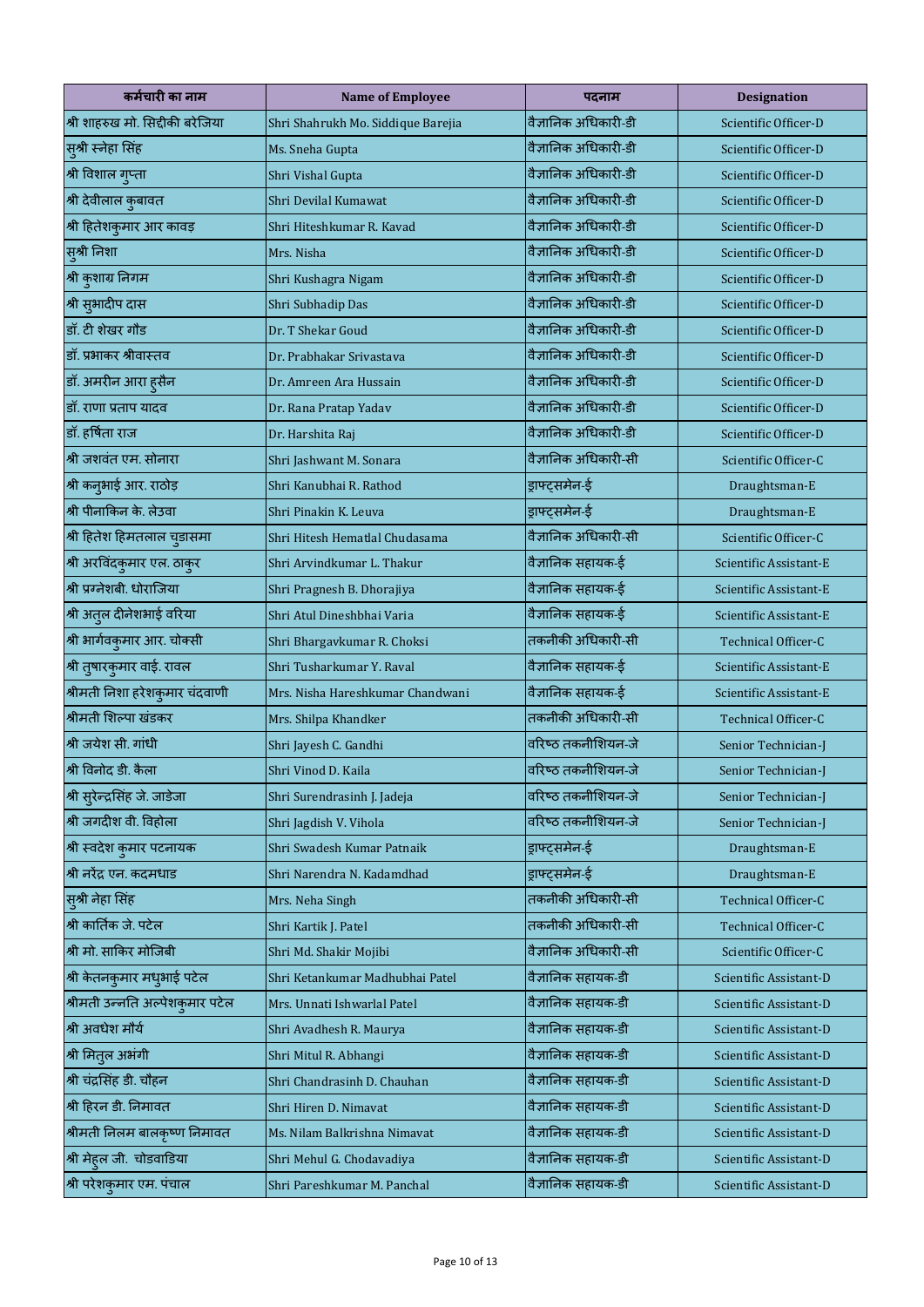| कर्मचारी का नाम                  | <b>Name of Employee</b>            | पदनाम                | <b>Designation</b>         |
|----------------------------------|------------------------------------|----------------------|----------------------------|
| श्री शाहरुख मो. सिद्दीकी बरेजिया | Shri Shahrukh Mo. Siddique Barejia | वैज्ञानिक अधिकारी-डी | Scientific Officer-D       |
| सुश्री स्नेहा सिंह               | Ms. Sneha Gupta                    | वैज्ञानिक अधिकारी-डी | Scientific Officer-D       |
| श्री विशाल गुप्ता                | Shri Vishal Gupta                  | वैज्ञानिक अधिकारी-डी | Scientific Officer-D       |
| श्री देवीलाल कुबावत              | Shri Devilal Kumawat               | वैज्ञानिक अधिकारी-डी | Scientific Officer-D       |
| श्री हितेशकुमार आर कावड़         | Shri Hiteshkumar R. Kavad          | वैज्ञानिक अधिकारी-डी | Scientific Officer-D       |
| स्श्री निशा                      | Mrs. Nisha                         | वैज्ञानिक अधिकारी-डी | Scientific Officer-D       |
| श्री कुशाग्र निगम                | Shri Kushagra Nigam                | वैज्ञानिक अधिकारी-डी | Scientific Officer-D       |
| श्री सुभादीप दास                 | Shri Subhadip Das                  | वैज्ञानिक अधिकारी-डी | Scientific Officer-D       |
| डॉ. टी शेखर गौड                  | Dr. T Shekar Goud                  | वैज्ञानिक अधिकारी-डी | Scientific Officer-D       |
| डॉ. प्रभाकर श्रीवास्तव           | Dr. Prabhakar Srivastava           | वैज्ञानिक अधिकारी-डी | Scientific Officer-D       |
| डॉ. अमरीन आरा ह्सैन              | Dr. Amreen Ara Hussain             | वैज्ञानिक अधिकारी-डी | Scientific Officer-D       |
| डॉ. राणा प्रताप यादव             | Dr. Rana Pratap Yadav              | वैज्ञानिक अधिकारी-डी | Scientific Officer-D       |
| डॉ. हर्षिता राज                  | Dr. Harshita Raj                   | वैज्ञानिक अधिकारी-डी | Scientific Officer-D       |
| श्री जशवंत एम. सोनारा            | Shri Jashwant M. Sonara            | वैज्ञानिक अधिकारी-सी | Scientific Officer-C       |
| श्री कनुभाई आर. राठोड़           | Shri Kanubhai R. Rathod            | ड्राफ्ट्समेन-ई       | Draughtsman-E              |
| श्री पीनाकिन के. लेउवा           | Shri Pinakin K. Leuva              | ड्राफ्ट्समेन-ई       | Draughtsman-E              |
| श्री हितेश हिमतलाल चुडासमा       | Shri Hitesh Hematlal Chudasama     | वैज्ञानिक अधिकारी-सी | Scientific Officer-C       |
| श्री अरविंदकुमार एल. ठाकुर       | Shri Arvindkumar L. Thakur         | वैज्ञानिक सहायक-ई    | Scientific Assistant-E     |
| श्री प्रग्नेशबी. धोराजिया        | Shri Pragnesh B. Dhorajiya         | वैज्ञानिक सहायक-ई    | Scientific Assistant-E     |
| श्री अतुल दीनेशभाई वरिया         | Shri Atul Dineshbhai Varia         | वैज्ञानिक सहायक-ई    | Scientific Assistant-E     |
| श्री भार्गवकुमार आर. चोक्सी      | Shri Bhargavkumar R. Choksi        | तकनीकी अधिकारी-सी    | <b>Technical Officer-C</b> |
| श्री तुषारकुमार वाई. रावल        | Shri Tusharkumar Y. Raval          | वैज्ञानिक सहायक-ई    | Scientific Assistant-E     |
| श्रीमती निशा हरेशकुमार चंदवाणी   | Mrs. Nisha Hareshkumar Chandwani   | वैज्ञानिक सहायक-ई    | Scientific Assistant-E     |
| श्रीमती शिल्पा खंडकर             | Mrs. Shilpa Khandker               | तकनीकी अधिकारी-सी    | <b>Technical Officer-C</b> |
| श्री जयेश सी. गांधी              | Shri Jayesh C. Gandhi              | वरिष्ठ तकनीशियन-जे   | Senior Technician-J        |
| श्री विनोद डी. कैला              | Shri Vinod D. Kaila                | वरिष्ठ तकनीशियन-जे   | Senior Technician-J        |
| श्री सुरेन्द्रसिंह जे. जाडेजा    | Shri Surendrasinh J. Jadeja        | वरिष्ठ तकनीशियन-जे   | Senior Technician-J        |
| श्री जगदीश वी. विहोला            | Shri Jagdish V. Vihola             | वरिष्ठ तकनीशियन-जे   | Senior Technician-J        |
| श्री स्वदेश कुमार पटनायक         | Shri Swadesh Kumar Patnaik         | ड्राफ्ट्समेन-ई       | Draughtsman-E              |
| श्री नरेंद्र एन. कदमधाड          | Shri Narendra N. Kadamdhad         | ड्राफ्ट्समेन-ई       | Draughtsman-E              |
| सुश्री नेहा सिंह                 | Mrs. Neha Singh                    | तकनीकी अधिकारी-सी    | <b>Technical Officer-C</b> |
| श्री कार्तिक जे. पटेल            | Shri Kartik J. Patel               | तकनीकी अधिकारी-सी    | Technical Officer-C        |
| श्री मो. साकिर मोजिबी            | Shri Md. Shakir Mojibi             | वैज्ञानिक अधिकारी-सी | Scientific Officer-C       |
| श्री केतनकुमार मधुभाई पटेल       | Shri Ketankumar Madhubhai Patel    | वैज्ञानिक सहायक-डी   | Scientific Assistant-D     |
| श्रीमती उन्नति अल्पेशकुमार पटेल  | Mrs. Unnati Ishwarlal Patel        | वैज्ञानिक सहायक-डी   | Scientific Assistant-D     |
| श्री अवधेश मौर्य                 | Shri Avadhesh R. Maurya            | वैज्ञानिक सहायक-डी   | Scientific Assistant-D     |
| श्री मितुल अभंगी                 | Shri Mitul R. Abhangi              | वैज्ञानिक सहायक-डी   | Scientific Assistant-D     |
| श्री चंद्रसिंह डी. चौहन          | Shri Chandrasinh D. Chauhan        | वैज्ञानिक सहायक-डी   | Scientific Assistant-D     |
| श्री हिरन डी. निमावत             | Shri Hiren D. Nimavat              | वैज्ञानिक सहायक-डी   | Scientific Assistant-D     |
| श्रीमती निलम बालकृष्ण निमावत     | Ms. Nilam Balkrishna Nimavat       | वैज्ञानिक सहायक-डी   | Scientific Assistant-D     |
| श्री मेहल जी. चोडवाडिया          | Shri Mehul G. Chodavadiya          | वैज्ञानिक सहायक-डी   | Scientific Assistant-D     |
| श्री परेशकुमार एम. पंचाल         | Shri Pareshkumar M. Panchal        | वैज्ञानिक सहायक-डी   | Scientific Assistant-D     |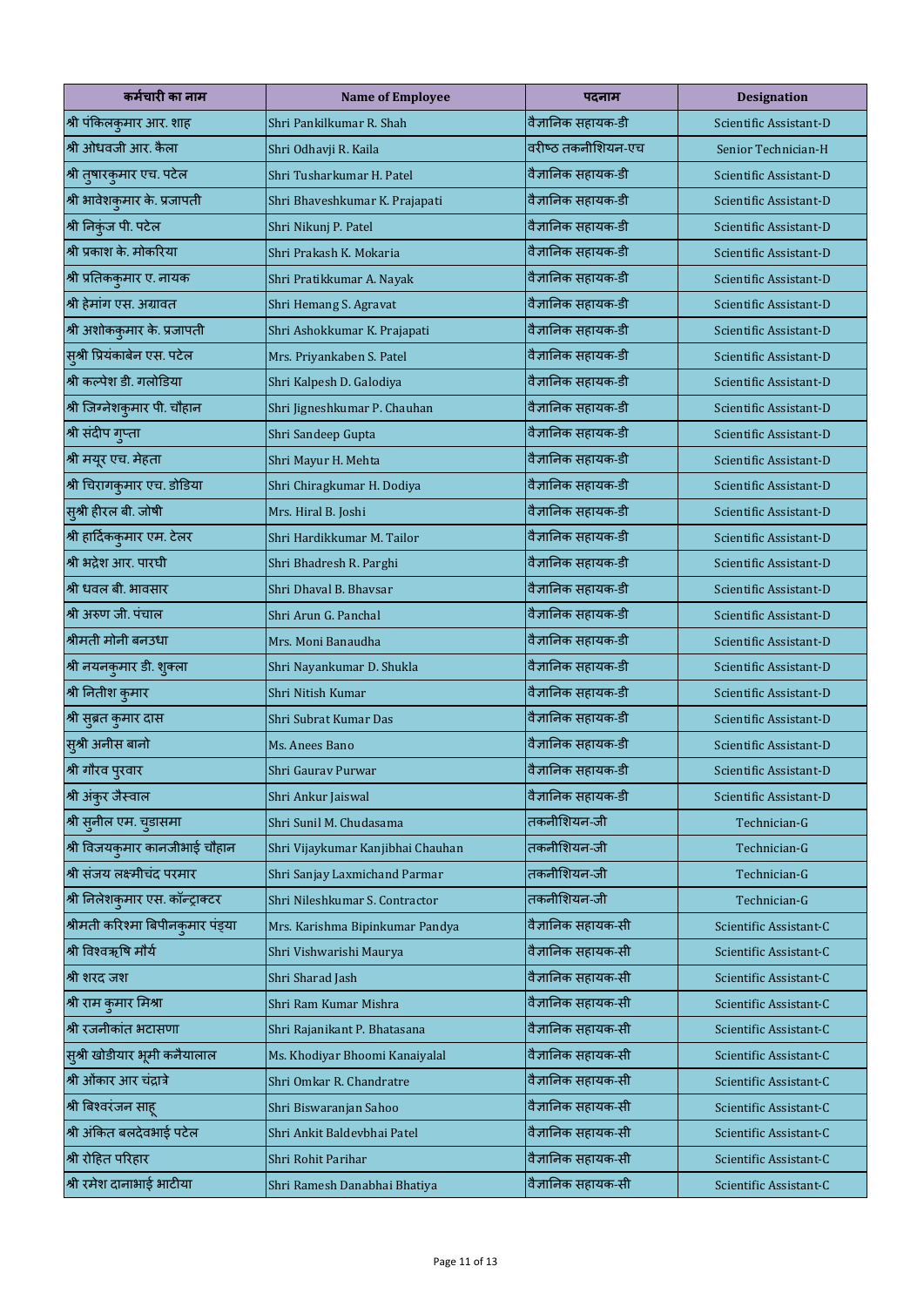| कर्मचारी का नाम                   | <b>Name of Employee</b>           | पदनाम              | <b>Designation</b>     |
|-----------------------------------|-----------------------------------|--------------------|------------------------|
| श्री पंकिलकुमार आर. शाह           | Shri Pankilkumar R. Shah          | वैज्ञानिक सहायक-डी | Scientific Assistant-D |
| श्री ओधवजी आर. कैला               | Shri Odhavji R. Kaila             | वरीष्ठ तकनीशियन-एच | Senior Technician-H    |
| श्री तुषारकुमार एच. पटेल          | Shri Tusharkumar H. Patel         | वैज्ञानिक सहायक-डी | Scientific Assistant-D |
| श्री भावेशकुमार के. प्रजापती      | Shri Bhaveshkumar K. Prajapati    | वैज्ञानिक सहायक-डी | Scientific Assistant-D |
| श्री निकुंज पी. पटेल              | Shri Nikunj P. Patel              | वैज्ञानिक सहायक-डी | Scientific Assistant-D |
| श्री प्रकाश के. मोकरिया           | Shri Prakash K. Mokaria           | वैज्ञानिक सहायक-डी | Scientific Assistant-D |
| श्री प्रतिककुमार ए. नायक          | Shri Pratikkumar A. Nayak         | वैज्ञानिक सहायक-डी | Scientific Assistant-D |
| श्री हेमांग एस. अग्रावत           | Shri Hemang S. Agravat            | वैज्ञानिक सहायक-डी | Scientific Assistant-D |
| श्री अशोककुमार के. प्रजापती       | Shri Ashokkumar K. Prajapati      | वैज्ञानिक सहायक-डी | Scientific Assistant-D |
| सुश्री प्रियंकाबेन एस. पटेल       | Mrs. Priyankaben S. Patel         | वैज्ञानिक सहायक-डी | Scientific Assistant-D |
| श्री कल्पेश डी. गलोडिया           | Shri Kalpesh D. Galodiya          | वैज्ञानिक सहायक-डी | Scientific Assistant-D |
| श्री जिग्नेशकुमार पी. चौहान       | Shri Jigneshkumar P. Chauhan      | वैज्ञानिक सहायक-डी | Scientific Assistant-D |
| श्री संदीप गुप्ता                 | Shri Sandeep Gupta                | वैज्ञानिक सहायक-डी | Scientific Assistant-D |
| श्री मयूर एच. मेहता               | Shri Mayur H. Mehta               | वैज्ञानिक सहायक-डी | Scientific Assistant-D |
| श्री चिरागकुमार एच. डोडिया        | Shri Chiragkumar H. Dodiya        | वैज्ञानिक सहायक-डी | Scientific Assistant-D |
| .<br>सुश्री हीरल बी. जोषी         | Mrs. Hiral B. Joshi               | वैज्ञानिक सहायक-डी | Scientific Assistant-D |
| श्री हार्दिककुमार एम. टेलर        | Shri Hardikkumar M. Tailor        | वैज्ञानिक सहायक-डी | Scientific Assistant-D |
| श्री भद्रेश आर. पारघी             | Shri Bhadresh R. Parghi           | वैज्ञानिक सहायक-डी | Scientific Assistant-D |
| श्री धवल बी. भावसार               | Shri Dhaval B. Bhaysar            | वैज्ञानिक सहायक-डी | Scientific Assistant-D |
| श्री अरुण जी. पंचाल               | Shri Arun G. Panchal              | वैज्ञानिक सहायक-डी | Scientific Assistant-D |
| श्रीमती मोनी बनउधा                | Mrs. Moni Banaudha                | वैज्ञानिक सहायक-डी | Scientific Assistant-D |
| श्री नयनकुमार डी. शुक्ला          | Shri Nayankumar D. Shukla         | वैज्ञानिक सहायक-डी | Scientific Assistant-D |
| श्री नितीश कुमार                  | Shri Nitish Kumar                 | वैज्ञानिक सहायक-डी | Scientific Assistant-D |
| श्री सुब्रत कुमार दास             | Shri Subrat Kumar Das             | वैज्ञानिक सहायक-डी | Scientific Assistant-D |
| सुश्री अनीस बानो                  | Ms. Anees Bano                    | वैज्ञानिक सहायक-डी | Scientific Assistant-D |
| श्री गौरव पुरवार                  | Shri Gaurav Purwar                | वैज्ञानिक सहायक-डी | Scientific Assistant-D |
| श्री अंकुर जैस्वाल                | Shri Ankur Jaiswal                | वैज्ञानिक सहायक-डी | Scientific Assistant-D |
| श्री सुनील एम. चुडासमा            | Shri Sunil M. Chudasama           | तकनीशियन-जी        | Technician-G           |
| श्री विजयकुमार कानजीभाई चौहान     | Shri Vijaykumar Kanjibhai Chauhan | तकनीशियन-जी        | Technician-G           |
| श्री संजय लक्ष्मीचंद परमार        | Shri Sanjay Laxmichand Parmar     | तकनीशियन-जी        | Technician-G           |
| श्री निलेशकुमार एस. कॉन्ट्राक्टर  | Shri Nileshkumar S. Contractor    | तकनीशियन-जी        | Technician-G           |
| श्रीमती करिश्मा बिपीनकुमार पंड्या | Mrs. Karishma Bipinkumar Pandya   | वैज्ञानिक सहायक-सी | Scientific Assistant-C |
| श्री विश्वऋषि मौर्य               | Shri Vishwarishi Maurya           | वैज्ञानिक सहायक-सी | Scientific Assistant-C |
| श्री शरद जश                       | Shri Sharad Jash                  | वैज्ञानिक सहायक-सी | Scientific Assistant-C |
| श्री राम कुमार मिश्रा             | Shri Ram Kumar Mishra             | वैज्ञानिक सहायक-सी | Scientific Assistant-C |
| श्री रजनीकांत भटासणा              | Shri Rajanikant P. Bhatasana      | वैज्ञानिक सहायक-सी | Scientific Assistant-C |
| सुश्री खोडीयार भूमी कनैयालाल      | Ms. Khodiyar Bhoomi Kanaiyalal    | वैज्ञानिक सहायक-सी | Scientific Assistant-C |
| श्री ओंकार आर चंद्रात्रे          | Shri Omkar R. Chandratre          | वैज्ञानिक सहायक-सी | Scientific Assistant-C |
| श्री बिश्वरंजन साह                | Shri Biswaranjan Sahoo            | वैज्ञानिक सहायक-सी | Scientific Assistant-C |
| श्री अंकित बलदेवभाई पटेल          | Shri Ankit Baldevbhai Patel       | वैज्ञानिक सहायक-सी | Scientific Assistant-C |
| श्री रोहित परिहार                 | Shri Rohit Parihar                | वैज्ञानिक सहायक-सी | Scientific Assistant-C |
| श्री रमेश दानाभाई भाटीया          | Shri Ramesh Danabhai Bhatiya      | वैज्ञानिक सहायक-सी | Scientific Assistant-C |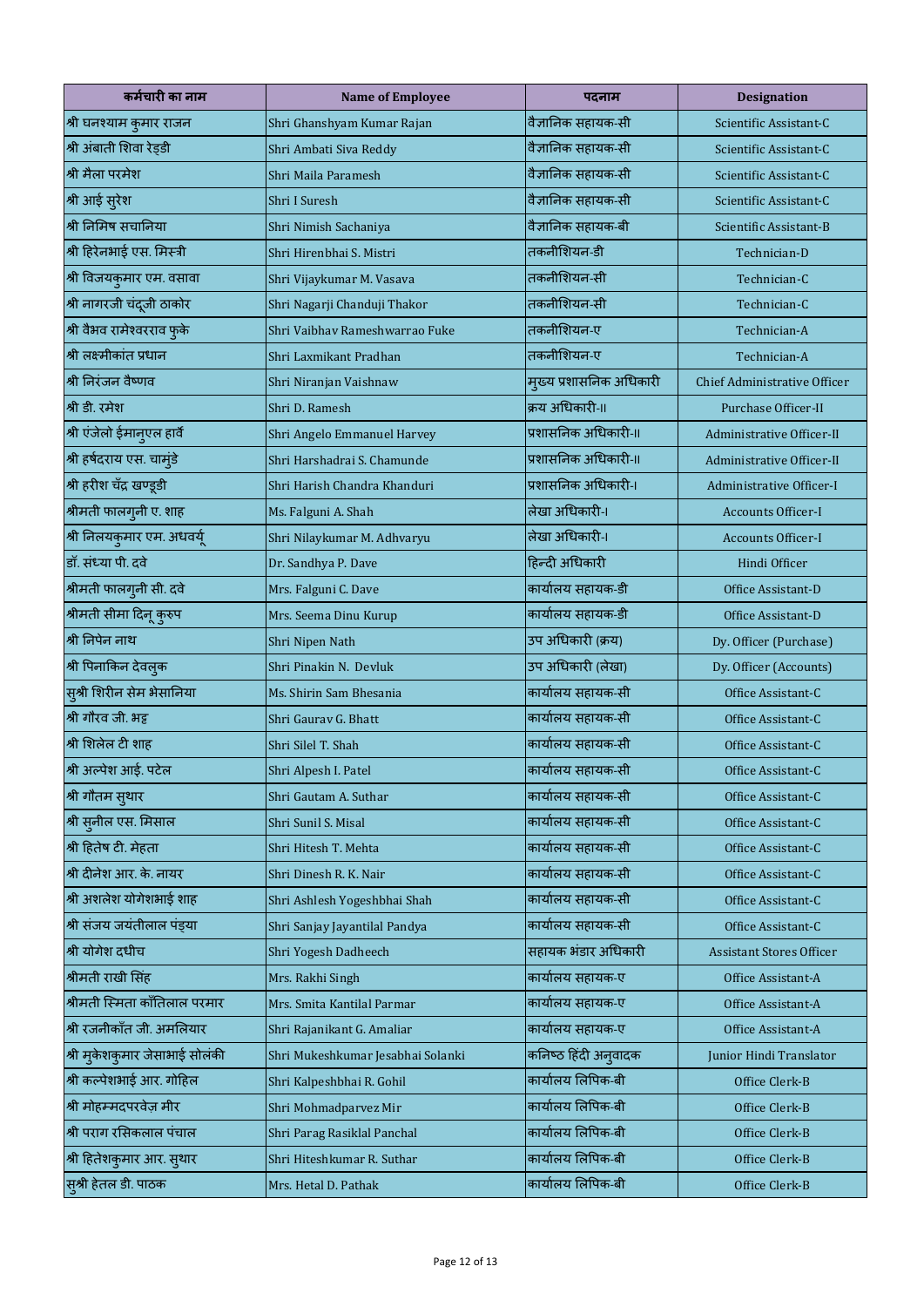| कर्मचारी का नाम                | <b>Name of Employee</b>           | पदनाम                   | <b>Designation</b>               |
|--------------------------------|-----------------------------------|-------------------------|----------------------------------|
| श्री घनश्याम कुमार राजन        | Shri Ghanshyam Kumar Rajan        | वैज्ञानिक सहायक-सी      | Scientific Assistant-C           |
| श्री अंबाती शिवा रेड्डी        | Shri Ambati Siva Reddy            | वैज्ञानिक सहायक-सी      | Scientific Assistant-C           |
| श्री मैला परमेश                | Shri Maila Paramesh               | वैज्ञानिक सहायक-सी      | Scientific Assistant-C           |
| श्री आई सुरेश                  | Shri I Suresh                     | वैज्ञानिक सहायक-सी      | Scientific Assistant-C           |
| श्री निमिष संचानिया            | Shri Nimish Sachaniya             | वैज्ञानिक सहायक-बी      | Scientific Assistant-B           |
| श्री हिरेनभाई एस. मिस्त्री     | Shri Hirenbhai S. Mistri          | तकनीशियन-डी             | Technician-D                     |
| श्री विजयकुमार एम. वसावा       | Shri Vijaykumar M. Vasava         | तकनीशियन-सी             | Technician-C                     |
| श्री नागरजी चंदूजी ठाकोर       | Shri Nagarji Chanduji Thakor      | तकनीशियन-सी             | Technician-C                     |
| श्री वैभव रामेश्वरराव फुके     | Shri Vaibhay Rameshwarrao Fuke    | तकनीशियन-ए              | Technician-A                     |
| श्री लक्ष्मीकांत प्रधान        | Shri Laxmikant Pradhan            | तकनीशियन-ए              | Technician-A                     |
| श्री निरंजन वैष्णव             | Shri Niranjan Vaishnaw            | म्ख्य प्रशासनिक अधिकारी | Chief Administrative Officer     |
| श्री डी. रमेश                  | Shri D. Ramesh                    | क्रय अधिकारी-॥          | Purchase Officer-II              |
| श्री एंजेलो ईमानुएल हार्वे     | Shri Angelo Emmanuel Harvey       | प्रशासनिक अधिकारी-॥     | Administrative Officer-II        |
| श्री हर्षदराय एस. चाम्डे       | Shri Harshadrai S. Chamunde       | प्रशासनिक अधिकारी-॥     | <b>Administrative Officer-II</b> |
| श्री हरीश चँद्र खण्डूडी        | Shri Harish Chandra Khanduri      | प्रशासनिक अधिकारी-।     | <b>Administrative Officer-I</b>  |
| श्रीमती फालगुनी ए. शाह         | Ms. Falguni A. Shah               | लेखा अधिकारी-।          | <b>Accounts Officer-I</b>        |
| श्री निलयकुमार एम. अधवर्यू     | Shri Nilaykumar M. Adhvaryu       | लेखा अधिकारी-।          | <b>Accounts Officer-I</b>        |
| डॉ. संध्या पी. दवे             | Dr. Sandhya P. Dave               | हिन्दी अधिकारी          | Hindi Officer                    |
| श्रीमती फालगुनी सी. दवे        | Mrs. Falguni C. Dave              | कार्यालय सहायक-डी       | Office Assistant-D               |
| श्रीमती सीमा दिनू कुरुप        | Mrs. Seema Dinu Kurup             | कार्यालय सहायक-डी       | Office Assistant-D               |
| श्री निपेन नाथ                 | Shri Nipen Nath                   | उप अधिकारी (क्रय)       | Dy. Officer (Purchase)           |
| श्री पिनाकिन देवल्क            | Shri Pinakin N. Devluk            | उप अधिकारी (लेखा)       | Dy. Officer (Accounts)           |
| स्श्री शिरीन सेम भेसानिया      | Ms. Shirin Sam Bhesania           | कार्यालय सहायक-सी       | Office Assistant-C               |
| श्री गौरव जी. भट्ट             | Shri Gaurav G. Bhatt              | कार्यालय सहायक-सी       | Office Assistant-C               |
| श्री शिलेल टी शाह              | Shri Silel T. Shah                | कार्यालय सहायक-सी       | Office Assistant-C               |
| श्री अल्पेश आई. पटेल           | Shri Alpesh I. Patel              | कार्यालय सहायक-सी       | Office Assistant-C               |
| श्री गौतम सुथार                | Shri Gautam A. Suthar             | कार्यालय सहायक-सी       | Office Assistant-C               |
| श्री सुनील एस. मिसाल           | Shri Sunil S. Misal               | कार्यालय सहायक-सी       | Office Assistant-C               |
| श्री हितेष टी. मेहता           | Shri Hitesh T. Mehta              | कार्यालय सहायक-सी       | Office Assistant-C               |
| श्री दीनेश आर. के. नायर        | Shri Dinesh R. K. Nair            | कार्यालय सहायक-सी       | Office Assistant-C               |
| श्री अशलेश योगेशभाई शाह        | Shri Ashlesh Yogeshbhai Shah      | कार्यालय सहायक-सी       | Office Assistant-C               |
| श्री संजय जयंतीलाल पंडया       | Shri Sanjay Jayantilal Pandya     | कार्यालय सहायक-सी       | Office Assistant-C               |
| श्री योगेश दधीच                | Shri Yogesh Dadheech              | सहायक भंडार अधिकारी     | <b>Assistant Stores Officer</b>  |
| श्रीमती राखी सिंह              | Mrs. Rakhi Singh                  | कार्यालय सहायक-ए        | Office Assistant-A               |
| श्रीमती स्मिता कॉंतिलाल परमार  | Mrs. Smita Kantilal Parmar        | कार्यालय सहायक-ए        | Office Assistant-A               |
| श्री रजनीकॉंत जी. अमलियार      | Shri Rajanikant G. Amaliar        | कार्यालय सहायक-ए        | Office Assistant-A               |
| श्री मुकेशकुमार जेसाभाई सोलंकी | Shri Mukeshkumar Jesabhai Solanki | कनिष्ठ हिंदी अनुवादक    | Junior Hindi Translator          |
| श्री कल्पेशभाई आर. गोहिल       | Shri Kalpeshbhai R. Gohil         | कार्यालय लिपिक-बी       | Office Clerk-B                   |
| श्री मोहम्मदपरवेज़ मीर         | Shri Mohmadparvez Mir             | कार्यालय लिपिक-बी       | Office Clerk-B                   |
| श्री पराग रसिकलाल पंचाल        | Shri Parag Rasiklal Panchal       | कार्यालय लिपिक-बी       | Office Clerk-B                   |
| श्री हितेशकुमार आर. सुथार      | Shri Hiteshkumar R. Suthar        | कार्यालय लिपिक-बी       | Office Clerk-B                   |
| सुश्री हेतल डी. पाठक           | Mrs. Hetal D. Pathak              | कार्यालय लिपिक-बी       | Office Clerk-B                   |